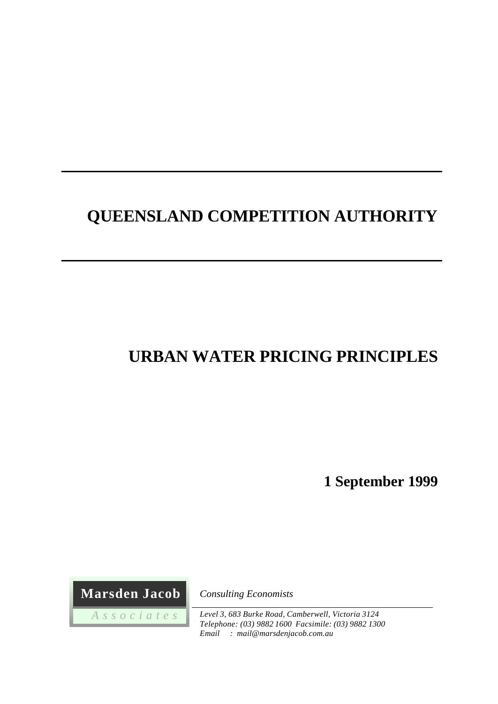# **QUEENSLAND COMPETITION AUTHORITY**

# **URBAN WATER PRICING PRINCIPLES**

**1 September 1999**

 **Marsden Jacob**

 *A s s o c i a t e s*

*Consulting Economists*

*Level 3, 683 Burke Road, Camberwell, Victoria 3124 Telephone: (03) 9882 1600 Facsimile: (03) 9882 1300 Email : mail@marsdenjacob.com.au*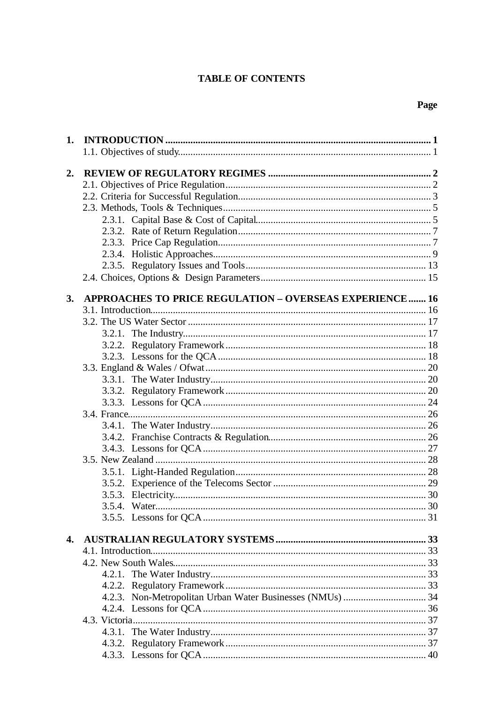## **TABLE OF CONTENTS**

| 1. |                                                                |  |
|----|----------------------------------------------------------------|--|
|    |                                                                |  |
| 2. |                                                                |  |
|    |                                                                |  |
|    |                                                                |  |
|    |                                                                |  |
|    |                                                                |  |
|    |                                                                |  |
|    |                                                                |  |
|    |                                                                |  |
|    |                                                                |  |
|    |                                                                |  |
| 3. | <b>APPROACHES TO PRICE REGULATION - OVERSEAS EXPERIENCE 16</b> |  |
|    |                                                                |  |
|    |                                                                |  |
|    |                                                                |  |
|    |                                                                |  |
|    |                                                                |  |
|    |                                                                |  |
|    |                                                                |  |
|    |                                                                |  |
|    |                                                                |  |
|    |                                                                |  |
|    |                                                                |  |
|    |                                                                |  |
|    |                                                                |  |
|    |                                                                |  |
|    |                                                                |  |
|    |                                                                |  |
|    |                                                                |  |
|    | 3.5.4. Water                                                   |  |
|    |                                                                |  |
| 4. |                                                                |  |
|    |                                                                |  |
|    |                                                                |  |
|    |                                                                |  |
|    |                                                                |  |
|    |                                                                |  |
|    |                                                                |  |
|    |                                                                |  |
|    |                                                                |  |
|    |                                                                |  |
|    |                                                                |  |

## Page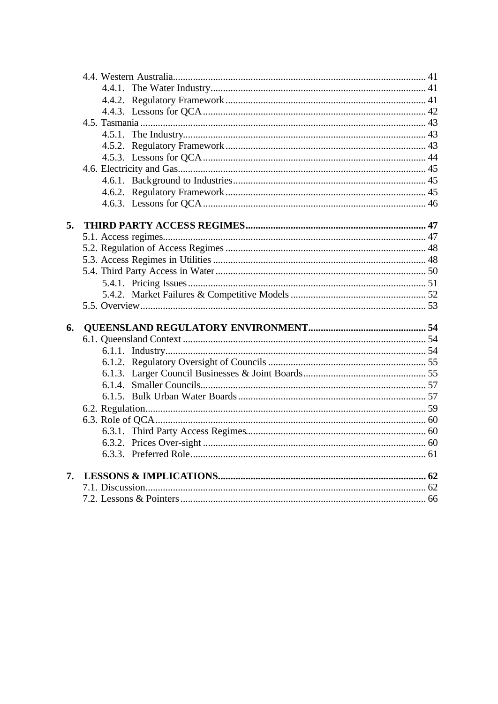| 5. |  |
|----|--|
|    |  |
|    |  |
|    |  |
|    |  |
|    |  |
|    |  |
|    |  |
|    |  |
| 6. |  |
|    |  |
|    |  |
|    |  |
|    |  |
|    |  |
|    |  |
|    |  |
|    |  |
|    |  |
|    |  |
|    |  |
| 7. |  |
|    |  |
|    |  |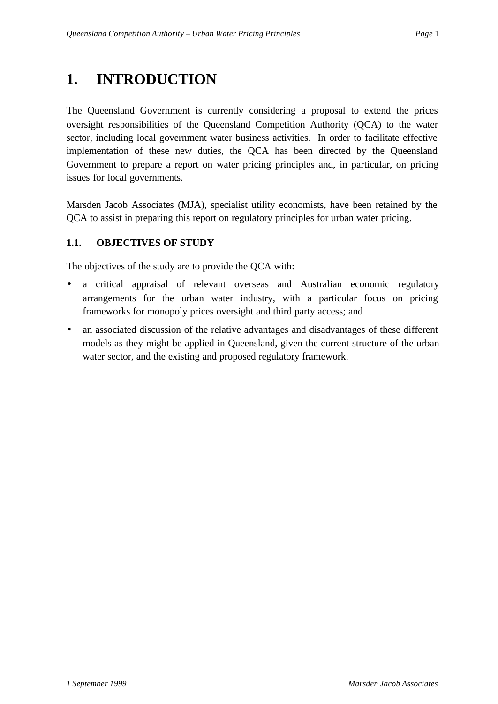# **1. INTRODUCTION**

The Queensland Government is currently considering a proposal to extend the prices oversight responsibilities of the Queensland Competition Authority (QCA) to the water sector, including local government water business activities. In order to facilitate effective implementation of these new duties, the QCA has been directed by the Queensland Government to prepare a report on water pricing principles and, in particular, on pricing issues for local governments.

Marsden Jacob Associates (MJA), specialist utility economists, have been retained by the QCA to assist in preparing this report on regulatory principles for urban water pricing.

## **1.1. OBJECTIVES OF STUDY**

The objectives of the study are to provide the QCA with:

- a critical appraisal of relevant overseas and Australian economic regulatory arrangements for the urban water industry, with a particular focus on pricing frameworks for monopoly prices oversight and third party access; and
- an associated discussion of the relative advantages and disadvantages of these different models as they might be applied in Queensland, given the current structure of the urban water sector, and the existing and proposed regulatory framework.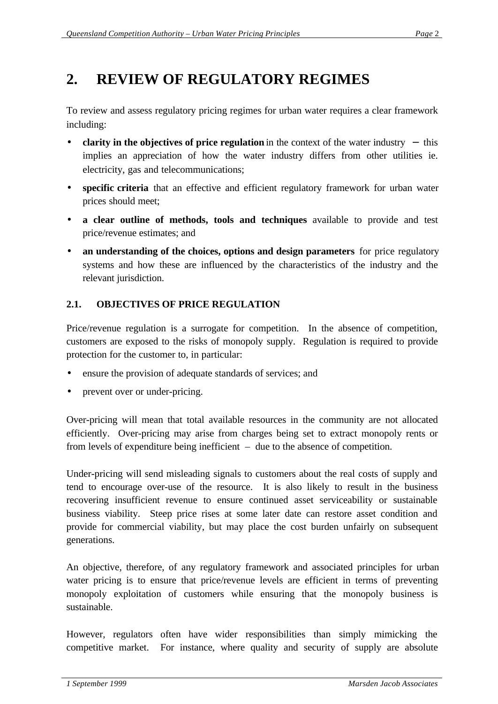## **2. REVIEW OF REGULATORY REGIMES**

To review and assess regulatory pricing regimes for urban water requires a clear framework including:

- **clarity in the objectives of price regulation** in the context of the water industry − this implies an appreciation of how the water industry differs from other utilities ie. electricity, gas and telecommunications;
- **specific criteria** that an effective and efficient regulatory framework for urban water prices should meet;
- **a clear outline of methods, tools and techniques** available to provide and test price/revenue estimates; and
- an understanding of the choices, options and design parameters for price regulatory systems and how these are influenced by the characteristics of the industry and the relevant jurisdiction.

## **2.1. OBJECTIVES OF PRICE REGULATION**

Price/revenue regulation is a surrogate for competition. In the absence of competition, customers are exposed to the risks of monopoly supply. Regulation is required to provide protection for the customer to, in particular:

- ensure the provision of adequate standards of services; and
- prevent over or under-pricing.

Over-pricing will mean that total available resources in the community are not allocated efficiently. Over-pricing may arise from charges being set to extract monopoly rents or from levels of expenditure being inefficient – due to the absence of competition.

Under-pricing will send misleading signals to customers about the real costs of supply and tend to encourage over-use of the resource. It is also likely to result in the business recovering insufficient revenue to ensure continued asset serviceability or sustainable business viability. Steep price rises at some later date can restore asset condition and provide for commercial viability, but may place the cost burden unfairly on subsequent generations.

An objective, therefore, of any regulatory framework and associated principles for urban water pricing is to ensure that price/revenue levels are efficient in terms of preventing monopoly exploitation of customers while ensuring that the monopoly business is sustainable.

However, regulators often have wider responsibilities than simply mimicking the competitive market. For instance, where quality and security of supply are absolute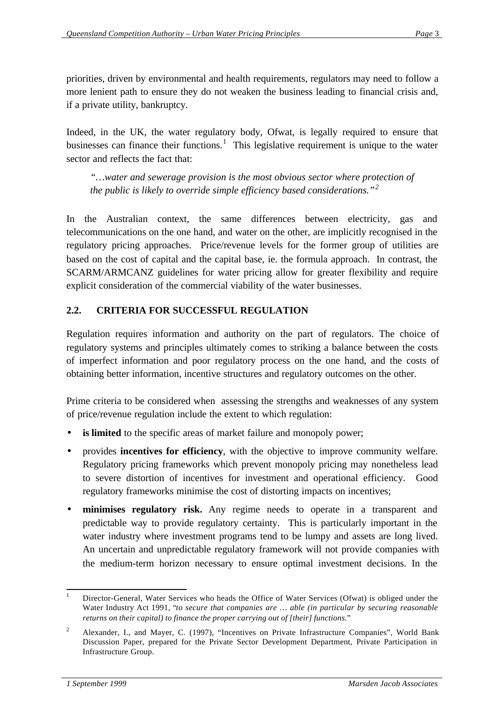priorities, driven by environmental and health requirements, regulators may need to follow a more lenient path to ensure they do not weaken the business leading to financial crisis and, if a private utility, bankruptcy.

Indeed, in the UK, the water regulatory body, Ofwat, is legally required to ensure that businesses can finance their functions.<sup>1</sup> This legislative requirement is unique to the water sector and reflects the fact that:

*"…water and sewerage provision is the most obvious sector where protection of the public is likely to override simple efficiency based considerations."<sup>2</sup>*

In the Australian context, the same differences between electricity, gas and telecommunications on the one hand, and water on the other, are implicitly recognised in the regulatory pricing approaches. Price/revenue levels for the former group of utilities are based on the cost of capital and the capital base, ie. the formula approach. In contrast, the SCARM/ARMCANZ guidelines for water pricing allow for greater flexibility and require explicit consideration of the commercial viability of the water businesses.

## **2.2. CRITERIA FOR SUCCESSFUL REGULATION**

Regulation requires information and authority on the part of regulators. The choice of regulatory systems and principles ultimately comes to striking a balance between the costs of imperfect information and poor regulatory process on the one hand, and the costs of obtaining better information, incentive structures and regulatory outcomes on the other.

Prime criteria to be considered when assessing the strengths and weaknesses of any system of price/revenue regulation include the extent to which regulation:

- is limited to the specific areas of market failure and monopoly power;
- provides **incentives for efficiency**, with the objective to improve community welfare. Regulatory pricing frameworks which prevent monopoly pricing may nonetheless lead to severe distortion of incentives for investment and operational efficiency. Good regulatory frameworks minimise the cost of distorting impacts on incentives;
- **minimises regulatory risk.** Any regime needs to operate in a transparent and predictable way to provide regulatory certainty. This is particularly important in the water industry where investment programs tend to be lumpy and assets are long lived. An uncertain and unpredictable regulatory framework will not provide companies with the medium-term horizon necessary to ensure optimal investment decisions. In the

 <sup>1</sup> Director-General, Water Services who heads the Office of Water Services (Ofwat) is obliged under the Water Industry Act 1991, "*to secure that companies are … able (in particular by securing reasonable returns on their capital) to finance the proper carrying out of [their] functions.*"

<sup>&</sup>lt;sup>2</sup> Alexander, I., and Mayer, C. (1997), "Incentives on Private Infrastructure Companies", World Bank Discussion Paper, prepared for the Private Sector Development Department, Private Participation in Infrastructure Group.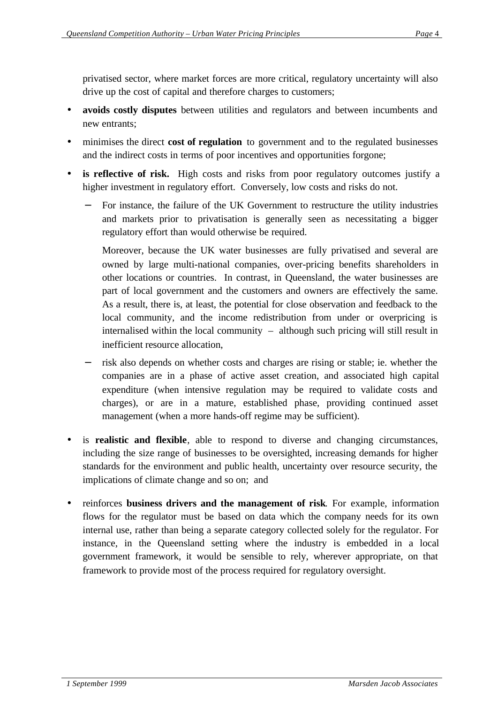privatised sector, where market forces are more critical, regulatory uncertainty will also drive up the cost of capital and therefore charges to customers;

- **avoids costly disputes** between utilities and regulators and between incumbents and new entrants;
- minimises the direct **cost of regulation** to government and to the regulated businesses and the indirect costs in terms of poor incentives and opportunities forgone;
- is reflective of risk. High costs and risks from poor regulatory outcomes justify a higher investment in regulatory effort. Conversely, low costs and risks do not.
	- For instance, the failure of the UK Government to restructure the utility industries and markets prior to privatisation is generally seen as necessitating a bigger regulatory effort than would otherwise be required.

Moreover, because the UK water businesses are fully privatised and several are owned by large multi-national companies, over-pricing benefits shareholders in other locations or countries. In contrast, in Queensland, the water businesses are part of local government and the customers and owners are effectively the same. As a result, there is, at least, the potential for close observation and feedback to the local community, and the income redistribution from under or overpricing is internalised within the local community – although such pricing will still result in inefficient resource allocation,

- risk also depends on whether costs and charges are rising or stable; ie. whether the companies are in a phase of active asset creation, and associated high capital expenditure (when intensive regulation may be required to validate costs and charges), or are in a mature, established phase, providing continued asset management (when a more hands-off regime may be sufficient).
- is **realistic and flexible**, able to respond to diverse and changing circumstances, including the size range of businesses to be oversighted, increasing demands for higher standards for the environment and public health, uncertainty over resource security, the implications of climate change and so on; and
- reinforces **business drivers and the management of risk**. For example, information flows for the regulator must be based on data which the company needs for its own internal use, rather than being a separate category collected solely for the regulator. For instance, in the Queensland setting where the industry is embedded in a local government framework, it would be sensible to rely, wherever appropriate, on that framework to provide most of the process required for regulatory oversight.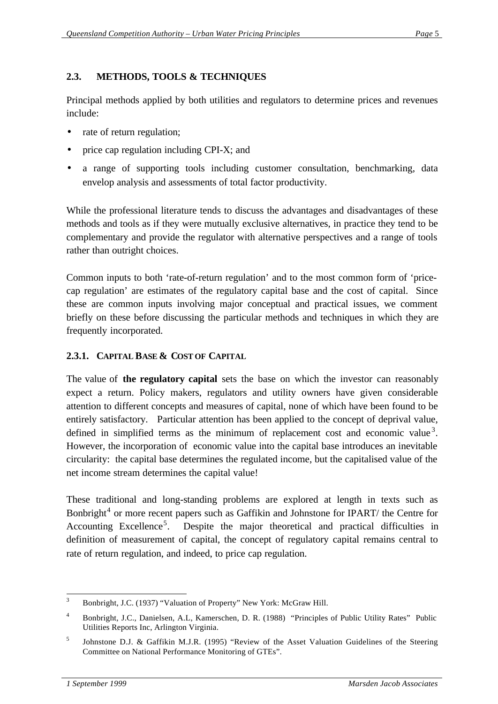## **2.3. METHODS, TOOLS & TECHNIQUES**

Principal methods applied by both utilities and regulators to determine prices and revenues include:

- rate of return regulation;
- price cap regulation including CPI-X; and
- a range of supporting tools including customer consultation, benchmarking, data envelop analysis and assessments of total factor productivity.

While the professional literature tends to discuss the advantages and disadvantages of these methods and tools as if they were mutually exclusive alternatives, in practice they tend to be complementary and provide the regulator with alternative perspectives and a range of tools rather than outright choices.

Common inputs to both 'rate-of-return regulation' and to the most common form of 'pricecap regulation' are estimates of the regulatory capital base and the cost of capital. Since these are common inputs involving major conceptual and practical issues, we comment briefly on these before discussing the particular methods and techniques in which they are frequently incorporated.

#### **2.3.1. CAPITAL BASE & COST OF CAPITAL**

The value of **the regulatory capital** sets the base on which the investor can reasonably expect a return. Policy makers, regulators and utility owners have given considerable attention to different concepts and measures of capital, none of which have been found to be entirely satisfactory. Particular attention has been applied to the concept of deprival value, defined in simplified terms as the minimum of replacement cost and economic value<sup>3</sup>. However, the incorporation of economic value into the capital base introduces an inevitable circularity: the capital base determines the regulated income, but the capitalised value of the net income stream determines the capital value!

These traditional and long-standing problems are explored at length in texts such as Bonbright<sup>4</sup> or more recent papers such as Gaffikin and Johnstone for IPART/ the Centre for Accounting Excellence<sup>5</sup>. Despite the major theoretical and practical difficulties in definition of measurement of capital, the concept of regulatory capital remains central to rate of return regulation, and indeed, to price cap regulation.

 <sup>3</sup> Bonbright, J.C. (1937) "Valuation of Property" New York: McGraw Hill.

<sup>4</sup> Bonbright, J.C., Danielsen, A.L, Kamerschen, D. R. (1988) "Principles of Public Utility Rates" Public Utilities Reports Inc, Arlington Virginia.

<sup>5</sup> Johnstone D.J. & Gaffikin M.J.R. (1995) "Review of the Asset Valuation Guidelines of the Steering Committee on National Performance Monitoring of GTEs".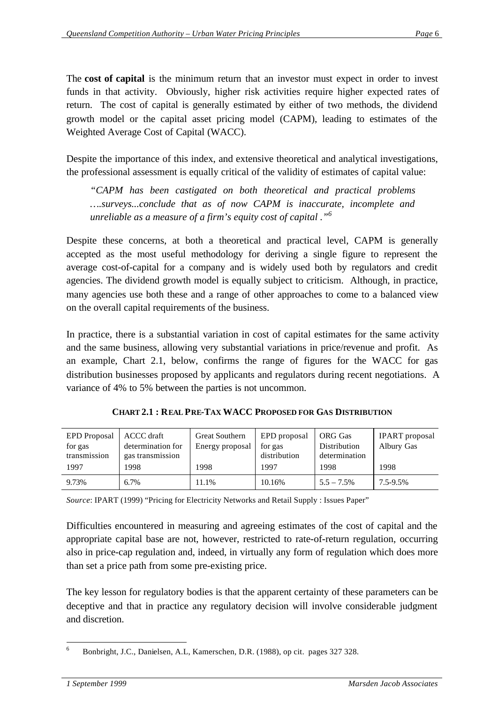The **cost of capital** is the minimum return that an investor must expect in order to invest funds in that activity. Obviously, higher risk activities require higher expected rates of return. The cost of capital is generally estimated by either of two methods, the dividend growth model or the capital asset pricing model (CAPM), leading to estimates of the Weighted Average Cost of Capital (WACC).

Despite the importance of this index, and extensive theoretical and analytical investigations, the professional assessment is equally critical of the validity of estimates of capital value:

*"CAPM has been castigated on both theoretical and practical problems ….surveys...conclude that as of now CAPM is inaccurate, incomplete and unreliable as a measure of a firm's equity cost of capital ."<sup>6</sup>*

Despite these concerns, at both a theoretical and practical level, CAPM is generally accepted as the most useful methodology for deriving a single figure to represent the average cost-of-capital for a company and is widely used both by regulators and credit agencies. The dividend growth model is equally subject to criticism. Although, in practice, many agencies use both these and a range of other approaches to come to a balanced view on the overall capital requirements of the business.

In practice, there is a substantial variation in cost of capital estimates for the same activity and the same business, allowing very substantial variations in price/revenue and profit. As an example, Chart 2.1, below, confirms the range of figures for the WACC for gas distribution businesses proposed by applicants and regulators during recent negotiations. A variance of 4% to 5% between the parties is not uncommon.

| <b>EPD</b> Proposal<br>for gas | <b>ACCC</b> draft<br>determination for | <b>Great Southern</b><br>Energy proposal | EPD proposal<br>for gas | <b>ORG</b> Gas<br>Distribution | <b>IPART</b> proposal<br>Albury Gas |
|--------------------------------|----------------------------------------|------------------------------------------|-------------------------|--------------------------------|-------------------------------------|
| transmission                   | gas transmission                       |                                          | distribution            | determination                  |                                     |
| 1997                           | 1998                                   | 1998                                     | 1997                    | 1998                           | 1998                                |
| 9.73%                          | 6.7%                                   | 11.1%                                    | 10.16%                  | $5.5 - 7.5\%$                  | 7.5-9.5%                            |

**CHART 2.1 : REAL PRE-TAX WACC PROPOSED FOR GAS DISTRIBUTION**

*Source*: IPART (1999) "Pricing for Electricity Networks and Retail Supply : Issues Paper"

Difficulties encountered in measuring and agreeing estimates of the cost of capital and the appropriate capital base are not, however, restricted to rate-of-return regulation, occurring also in price-cap regulation and, indeed, in virtually any form of regulation which does more than set a price path from some pre-existing price.

The key lesson for regulatory bodies is that the apparent certainty of these parameters can be deceptive and that in practice any regulatory decision will involve considerable judgment and discretion.

 <sup>6</sup> Bonbright, J.C., Danielsen, A.L, Kamerschen, D.R. (1988), op cit. pages 327 328.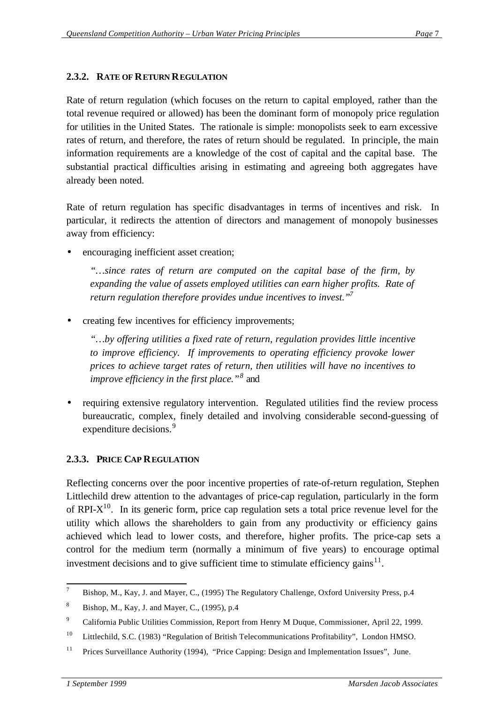## **2.3.2. RATE OF RETURN REGULATION**

Rate of return regulation (which focuses on the return to capital employed, rather than the total revenue required or allowed) has been the dominant form of monopoly price regulation for utilities in the United States. The rationale is simple: monopolists seek to earn excessive rates of return, and therefore, the rates of return should be regulated. In principle, the main information requirements are a knowledge of the cost of capital and the capital base. The substantial practical difficulties arising in estimating and agreeing both aggregates have already been noted.

Rate of return regulation has specific disadvantages in terms of incentives and risk. In particular, it redirects the attention of directors and management of monopoly businesses away from efficiency:

encouraging inefficient asset creation;

*"…since rates of return are computed on the capital base of the firm, by expanding the value of assets employed utilities can earn higher profits. Rate of return regulation therefore provides undue incentives to invest."<sup>7</sup>*

• creating few incentives for efficiency improvements;

*"…by offering utilities a fixed rate of return, regulation provides little incentive to improve efficiency. If improvements to operating efficiency provoke lower prices to achieve target rates of return, then utilities will have no incentives to improve efficiency in the first place."<sup>8</sup>* and

• requiring extensive regulatory intervention. Regulated utilities find the review process bureaucratic, complex, finely detailed and involving considerable second-guessing of expenditure decisions.<sup>9</sup>

## **2.3.3. PRICE CAP REGULATION**

Reflecting concerns over the poor incentive properties of rate-of-return regulation, Stephen Littlechild drew attention to the advantages of price-cap regulation, particularly in the form of RPI- $X^{10}$ . In its generic form, price cap regulation sets a total price revenue level for the utility which allows the shareholders to gain from any productivity or efficiency gains achieved which lead to lower costs, and therefore, higher profits. The price-cap sets a control for the medium term (normally a minimum of five years) to encourage optimal investment decisions and to give sufficient time to stimulate efficiency gains $^{11}$ .

 <sup>7</sup> Bishop, M., Kay, J. and Mayer, C., (1995) The Regulatory Challenge, Oxford University Press, p.4

 $8$  Bishop, M., Kay, J. and Mayer, C., (1995), p.4

<sup>9</sup> California Public Utilities Commission, Report from Henry M Duque, Commissioner, April 22, 1999.

<sup>&</sup>lt;sup>10</sup> Littlechild, S.C. (1983) "Regulation of British Telecommunications Profitability", London HMSO.

<sup>&</sup>lt;sup>11</sup> Prices Surveillance Authority (1994), "Price Capping: Design and Implementation Issues", June.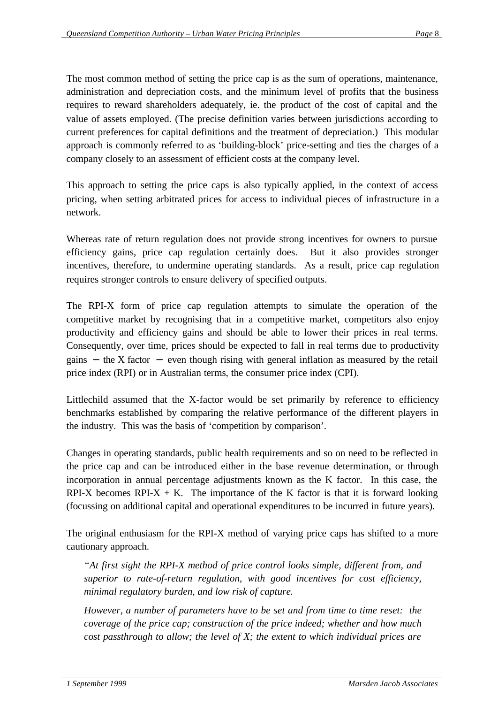The most common method of setting the price cap is as the sum of operations, maintenance, administration and depreciation costs, and the minimum level of profits that the business requires to reward shareholders adequately, ie. the product of the cost of capital and the value of assets employed. (The precise definition varies between jurisdictions according to current preferences for capital definitions and the treatment of depreciation.) This modular approach is commonly referred to as 'building-block' price-setting and ties the charges of a company closely to an assessment of efficient costs at the company level.

This approach to setting the price caps is also typically applied, in the context of access pricing, when setting arbitrated prices for access to individual pieces of infrastructure in a network.

Whereas rate of return regulation does not provide strong incentives for owners to pursue efficiency gains, price cap regulation certainly does. But it also provides stronger incentives, therefore, to undermine operating standards. As a result, price cap regulation requires stronger controls to ensure delivery of specified outputs.

The RPI-X form of price cap regulation attempts to simulate the operation of the competitive market by recognising that in a competitive market, competitors also enjoy productivity and efficiency gains and should be able to lower their prices in real terms. Consequently, over time, prices should be expected to fall in real terms due to productivity gains  $-$  the X factor  $-$  even though rising with general inflation as measured by the retail price index (RPI) or in Australian terms, the consumer price index (CPI).

Littlechild assumed that the X-factor would be set primarily by reference to efficiency benchmarks established by comparing the relative performance of the different players in the industry. This was the basis of 'competition by comparison'.

Changes in operating standards, public health requirements and so on need to be reflected in the price cap and can be introduced either in the base revenue determination, or through incorporation in annual percentage adjustments known as the K factor. In this case, the RPI-X becomes RPI-X  $+$  K. The importance of the K factor is that it is forward looking (focussing on additional capital and operational expenditures to be incurred in future years).

The original enthusiasm for the RPI-X method of varying price caps has shifted to a more cautionary approach.

*"At first sight the RPI-X method of price control looks simple, different from, and superior to rate-of-return regulation, with good incentives for cost efficiency, minimal regulatory burden, and low risk of capture.*

*However, a number of parameters have to be set and from time to time reset: the coverage of the price cap; construction of the price indeed; whether and how much cost passthrough to allow; the level of X; the extent to which individual prices are*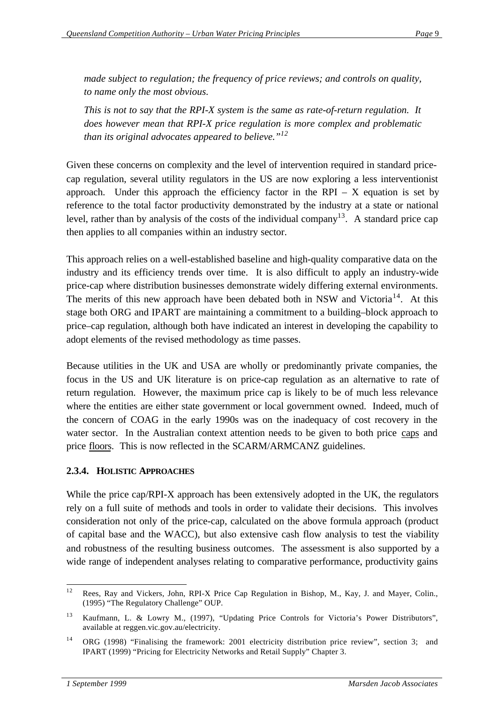*made subject to regulation; the frequency of price reviews; and controls on quality, to name only the most obvious.*

*This is not to say that the RPI-X system is the same as rate-of-return regulation. It does however mean that RPI-X price regulation is more complex and problematic than its original advocates appeared to believe."<sup>12</sup>*

Given these concerns on complexity and the level of intervention required in standard pricecap regulation, several utility regulators in the US are now exploring a less interventionist approach. Under this approach the efficiency factor in the RPI –  $X$  equation is set by reference to the total factor productivity demonstrated by the industry at a state or national level, rather than by analysis of the costs of the individual company<sup>13</sup>. A standard price cap then applies to all companies within an industry sector.

This approach relies on a well-established baseline and high-quality comparative data on the industry and its efficiency trends over time. It is also difficult to apply an industry-wide price-cap where distribution businesses demonstrate widely differing external environments. The merits of this new approach have been debated both in NSW and Victoria<sup>14</sup>. At this stage both ORG and IPART are maintaining a commitment to a building–block approach to price–cap regulation, although both have indicated an interest in developing the capability to adopt elements of the revised methodology as time passes.

Because utilities in the UK and USA are wholly or predominantly private companies, the focus in the US and UK literature is on price-cap regulation as an alternative to rate of return regulation. However, the maximum price cap is likely to be of much less relevance where the entities are either state government or local government owned. Indeed, much of the concern of COAG in the early 1990s was on the inadequacy of cost recovery in the water sector. In the Australian context attention needs to be given to both price caps and price floors. This is now reflected in the SCARM/ARMCANZ guidelines.

#### **2.3.4. HOLISTIC APPROACHES**

While the price cap/RPI-X approach has been extensively adopted in the UK, the regulators rely on a full suite of methods and tools in order to validate their decisions. This involves consideration not only of the price-cap, calculated on the above formula approach (product of capital base and the WACC), but also extensive cash flow analysis to test the viability and robustness of the resulting business outcomes. The assessment is also supported by a wide range of independent analyses relating to comparative performance, productivity gains

 $12$ <sup>12</sup> Rees, Ray and Vickers, John, RPI-X Price Cap Regulation in Bishop, M., Kay, J. and Mayer, Colin., (1995) "The Regulatory Challenge" OUP.

<sup>13</sup> Kaufmann, L. & Lowry M., (1997), "Updating Price Controls for Victoria's Power Distributors", available at reggen.vic.gov.au/electricity.

<sup>&</sup>lt;sup>14</sup> ORG (1998) "Finalising the framework: 2001 electricity distribution price review", section 3; and IPART (1999) "Pricing for Electricity Networks and Retail Supply" Chapter 3.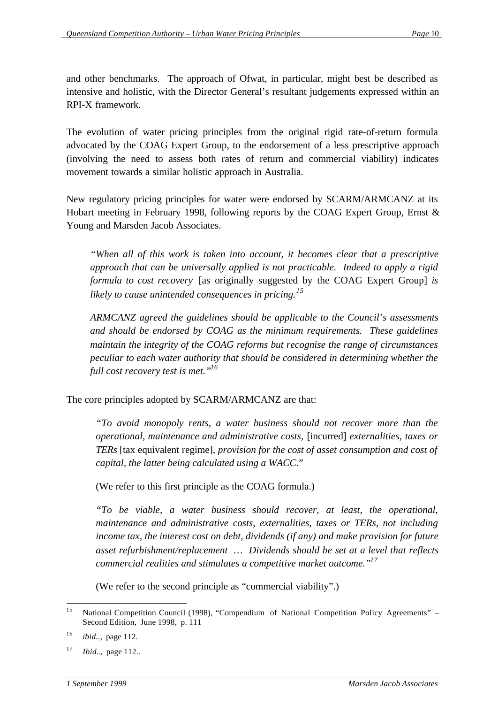and other benchmarks. The approach of Ofwat, in particular, might best be described as intensive and holistic, with the Director General's resultant judgements expressed within an RPI-X framework.

The evolution of water pricing principles from the original rigid rate-of-return formula advocated by the COAG Expert Group, to the endorsement of a less prescriptive approach (involving the need to assess both rates of return and commercial viability) indicates movement towards a similar holistic approach in Australia.

New regulatory pricing principles for water were endorsed by SCARM/ARMCANZ at its Hobart meeting in February 1998, following reports by the COAG Expert Group, Ernst & Young and Marsden Jacob Associates.

*"When all of this work is taken into account, it becomes clear that a prescriptive approach that can be universally applied is not practicable. Indeed to apply a rigid formula to cost recovery* [as originally suggested by the COAG Expert Group] *is likely to cause unintended consequences in pricing.<sup>15</sup>*

*ARMCANZ agreed the guidelines should be applicable to the Council's assessments and should be endorsed by COAG as the minimum requirements. These guidelines maintain the integrity of the COAG reforms but recognise the range of circumstances peculiar to each water authority that should be considered in determining whether the full cost recovery test is met."<sup>16</sup>*

The core principles adopted by SCARM/ARMCANZ are that:

*"To avoid monopoly rents, a water business should not recover more than the operational, maintenance and administrative costs,* [incurred] *externalities, taxes or TERs* [tax equivalent regime], *provision for the cost of asset consumption and cost of capital, the latter being calculated using a WACC*."

(We refer to this first principle as the COAG formula.)

*"To be viable, a water business should recover, at least, the operational, maintenance and administrative costs, externalities, taxes or TERs, not including income tax, the interest cost on debt, dividends (if any) and make provision for future asset refurbishment/replacement … Dividends should be set at a level that reflects commercial realities and stimulates a competitive market outcome."<sup>17</sup>*

(We refer to the second principle as "commercial viability".)

 $15$ National Competition Council (1998), "Compendium of National Competition Policy Agreements" – Second Edition, June 1998, p. 111

<sup>16</sup> *ibid..*, page 112.

<sup>17</sup> *Ibid.*., page 112.*.*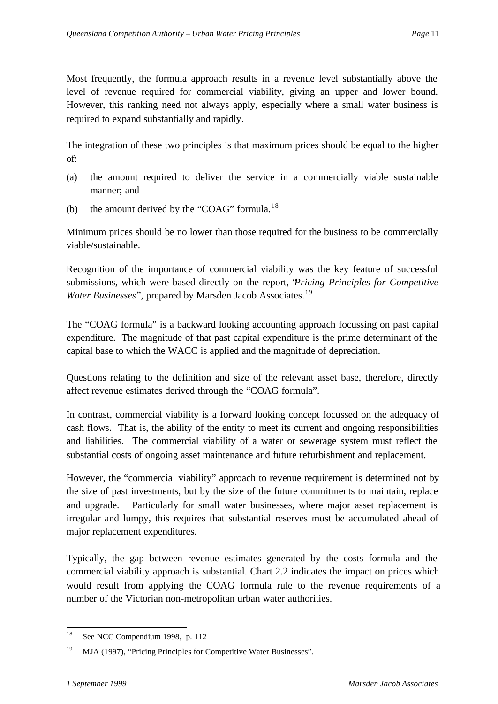Most frequently, the formula approach results in a revenue level substantially above the level of revenue required for commercial viability, giving an upper and lower bound. However, this ranking need not always apply, especially where a small water business is required to expand substantially and rapidly.

The integration of these two principles is that maximum prices should be equal to the higher of:

- (a) the amount required to deliver the service in a commercially viable sustainable manner; and
- (b) the amount derived by the "COAG" formula.<sup>18</sup>

Minimum prices should be no lower than those required for the business to be commercially viable/sustainable.

Recognition of the importance of commercial viability was the key feature of successful submissions, which were based directly on the report, "*Pricing Principles for Competitive Water Businesses*", prepared by Marsden Jacob Associates.<sup>19</sup>

The "COAG formula" is a backward looking accounting approach focussing on past capital expenditure. The magnitude of that past capital expenditure is the prime determinant of the capital base to which the WACC is applied and the magnitude of depreciation.

Questions relating to the definition and size of the relevant asset base, therefore, directly affect revenue estimates derived through the "COAG formula".

In contrast, commercial viability is a forward looking concept focussed on the adequacy of cash flows. That is, the ability of the entity to meet its current and ongoing responsibilities and liabilities. The commercial viability of a water or sewerage system must reflect the substantial costs of ongoing asset maintenance and future refurbishment and replacement.

However, the "commercial viability" approach to revenue requirement is determined not by the size of past investments, but by the size of the future commitments to maintain, replace and upgrade. Particularly for small water businesses, where major asset replacement is irregular and lumpy, this requires that substantial reserves must be accumulated ahead of major replacement expenditures.

Typically, the gap between revenue estimates generated by the costs formula and the commercial viability approach is substantial. Chart 2.2 indicates the impact on prices which would result from applying the COAG formula rule to the revenue requirements of a number of the Victorian non-metropolitan urban water authorities.

 See NCC Compendium 1998, p. 112

<sup>&</sup>lt;sup>19</sup> MJA (1997), "Pricing Principles for Competitive Water Businesses".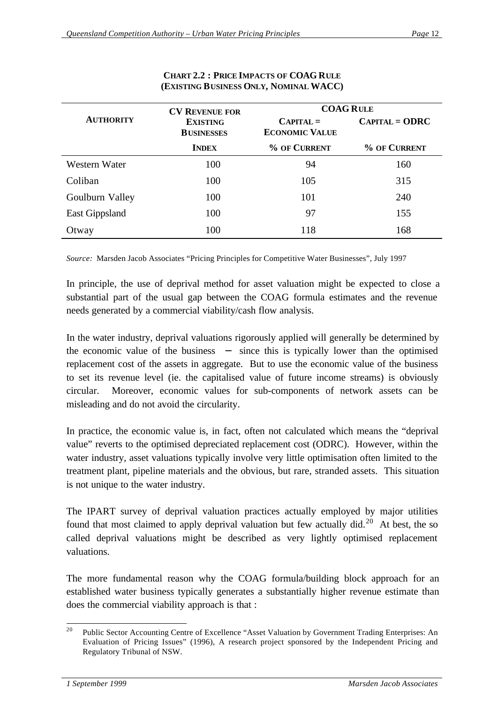|                       | <b>CV REVENUE FOR</b>                | <b>COAG RULE</b>                     |                  |  |
|-----------------------|--------------------------------------|--------------------------------------|------------------|--|
| <b>AUTHORITY</b>      | <b>EXISTING</b><br><b>BUSINESSES</b> | $CAPITAL =$<br><b>ECONOMIC VALUE</b> | $CAPITAL = ODRC$ |  |
|                       | <b>INDEX</b>                         | % OF CURRENT                         | % OF CURRENT     |  |
| Western Water         | 100                                  | 94                                   | 160              |  |
| Coliban               | 100                                  | 105                                  | 315              |  |
| Goulburn Valley       | 100                                  | 101                                  | 240              |  |
| <b>East Gippsland</b> | 100                                  | 97                                   | 155              |  |
| Otway                 | 100                                  | 118                                  | 168              |  |

#### **CHART 2.2 : PRICE IMPACTS OF COAG RULE (EXISTING BUSINESS ONLY, NOMINAL WACC)**

*Source:* Marsden Jacob Associates "Pricing Principles for Competitive Water Businesses", July 1997

In principle, the use of deprival method for asset valuation might be expected to close a substantial part of the usual gap between the COAG formula estimates and the revenue needs generated by a commercial viability/cash flow analysis.

In the water industry, deprival valuations rigorously applied will generally be determined by the economic value of the business − since this is typically lower than the optimised replacement cost of the assets in aggregate. But to use the economic value of the business to set its revenue level (ie. the capitalised value of future income streams) is obviously circular. Moreover, economic values for sub-components of network assets can be misleading and do not avoid the circularity.

In practice, the economic value is, in fact, often not calculated which means the "deprival value" reverts to the optimised depreciated replacement cost (ODRC). However, within the water industry, asset valuations typically involve very little optimisation often limited to the treatment plant, pipeline materials and the obvious, but rare, stranded assets. This situation is not unique to the water industry.

The IPART survey of deprival valuation practices actually employed by major utilities found that most claimed to apply deprival valuation but few actually did.<sup>20</sup> At best, the so called deprival valuations might be described as very lightly optimised replacement valuations.

The more fundamental reason why the COAG formula/building block approach for an established water business typically generates a substantially higher revenue estimate than does the commercial viability approach is that :

 $20$ <sup>20</sup> Public Sector Accounting Centre of Excellence "Asset Valuation by Government Trading Enterprises: An Evaluation of Pricing Issues" (1996), A research project sponsored by the Independent Pricing and Regulatory Tribunal of NSW.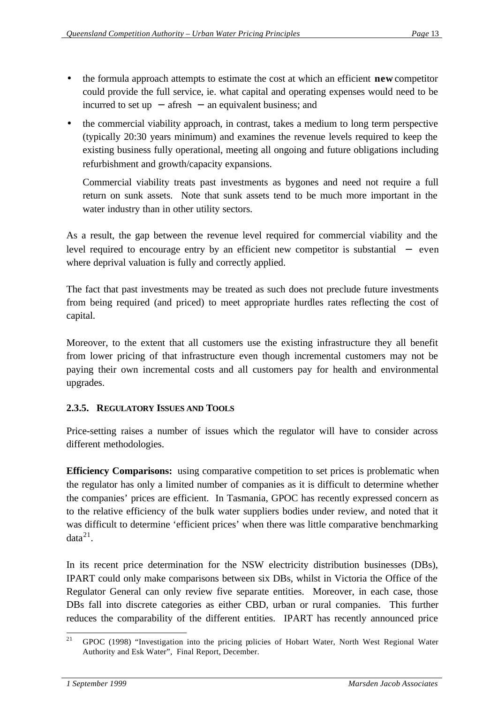- the formula approach attempts to estimate the cost at which an efficient **new** competitor could provide the full service, ie. what capital and operating expenses would need to be incurred to set up − afresh − an equivalent business; and
- the commercial viability approach, in contrast, takes a medium to long term perspective (typically 20:30 years minimum) and examines the revenue levels required to keep the existing business fully operational, meeting all ongoing and future obligations including refurbishment and growth/capacity expansions.

Commercial viability treats past investments as bygones and need not require a full return on sunk assets. Note that sunk assets tend to be much more important in the water industry than in other utility sectors.

As a result, the gap between the revenue level required for commercial viability and the level required to encourage entry by an efficient new competitor is substantial − even where deprival valuation is fully and correctly applied.

The fact that past investments may be treated as such does not preclude future investments from being required (and priced) to meet appropriate hurdles rates reflecting the cost of capital.

Moreover, to the extent that all customers use the existing infrastructure they all benefit from lower pricing of that infrastructure even though incremental customers may not be paying their own incremental costs and all customers pay for health and environmental upgrades.

## **2.3.5. REGULATORY ISSUES AND TOOLS**

Price-setting raises a number of issues which the regulator will have to consider across different methodologies.

**Efficiency Comparisons:** using comparative competition to set prices is problematic when the regulator has only a limited number of companies as it is difficult to determine whether the companies' prices are efficient. In Tasmania, GPOC has recently expressed concern as to the relative efficiency of the bulk water suppliers bodies under review, and noted that it was difficult to determine 'efficient prices' when there was little comparative benchmarking  $data<sup>21</sup>$ .

In its recent price determination for the NSW electricity distribution businesses (DBs), IPART could only make comparisons between six DBs, whilst in Victoria the Office of the Regulator General can only review five separate entities. Moreover, in each case, those DBs fall into discrete categories as either CBD, urban or rural companies. This further reduces the comparability of the different entities. IPART has recently announced price

 <sup>21</sup> GPOC (1998) "Investigation into the pricing policies of Hobart Water, North West Regional Water Authority and Esk Water", Final Report, December.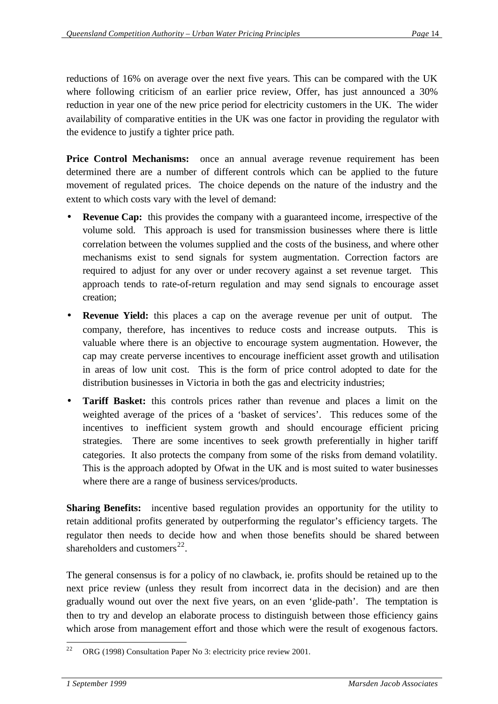reductions of 16% on average over the next five years. This can be compared with the UK where following criticism of an earlier price review, Offer, has just announced a 30% reduction in year one of the new price period for electricity customers in the UK. The wider availability of comparative entities in the UK was one factor in providing the regulator with the evidence to justify a tighter price path.

**Price Control Mechanisms:** once an annual average revenue requirement has been determined there are a number of different controls which can be applied to the future movement of regulated prices. The choice depends on the nature of the industry and the extent to which costs vary with the level of demand:

- **Revenue Cap:** this provides the company with a guaranteed income, irrespective of the volume sold. This approach is used for transmission businesses where there is little correlation between the volumes supplied and the costs of the business, and where other mechanisms exist to send signals for system augmentation. Correction factors are required to adjust for any over or under recovery against a set revenue target. This approach tends to rate-of-return regulation and may send signals to encourage asset creation;
- **Revenue Yield:** this places a cap on the average revenue per unit of output. The company, therefore, has incentives to reduce costs and increase outputs. This is valuable where there is an objective to encourage system augmentation. However, the cap may create perverse incentives to encourage inefficient asset growth and utilisation in areas of low unit cost. This is the form of price control adopted to date for the distribution businesses in Victoria in both the gas and electricity industries;
- **Tariff Basket:** this controls prices rather than revenue and places a limit on the weighted average of the prices of a 'basket of services'. This reduces some of the incentives to inefficient system growth and should encourage efficient pricing strategies. There are some incentives to seek growth preferentially in higher tariff categories. It also protects the company from some of the risks from demand volatility. This is the approach adopted by Ofwat in the UK and is most suited to water businesses where there are a range of business services/products.

**Sharing Benefits:** incentive based regulation provides an opportunity for the utility to retain additional profits generated by outperforming the regulator's efficiency targets. The regulator then needs to decide how and when those benefits should be shared between shareholders and customers<sup>22</sup>.

The general consensus is for a policy of no clawback, ie. profits should be retained up to the next price review (unless they result from incorrect data in the decision) and are then gradually wound out over the next five years, on an even 'glide-path'. The temptation is then to try and develop an elaborate process to distinguish between those efficiency gains which arose from management effort and those which were the result of exogenous factors.

 ORG (1998) Consultation Paper No 3: electricity price review 2001.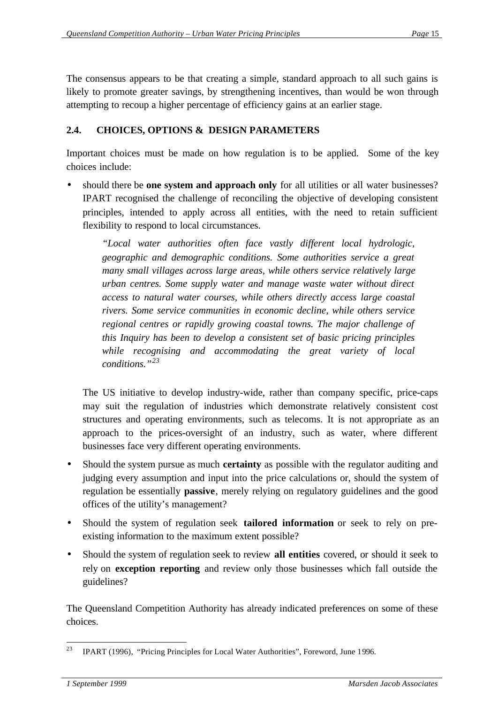The consensus appears to be that creating a simple, standard approach to all such gains is likely to promote greater savings, by strengthening incentives, than would be won through attempting to recoup a higher percentage of efficiency gains at an earlier stage.

## **2.4. CHOICES, OPTIONS & DESIGN PARAMETERS**

Important choices must be made on how regulation is to be applied. Some of the key choices include:

• should there be **one system and approach only** for all utilities or all water businesses? IPART recognised the challenge of reconciling the objective of developing consistent principles, intended to apply across all entities, with the need to retain sufficient flexibility to respond to local circumstances.

*"Local water authorities often face vastly different local hydrologic, geographic and demographic conditions. Some authorities service a great many small villages across large areas, while others service relatively large urban centres. Some supply water and manage waste water without direct access to natural water courses, while others directly access large coastal rivers. Some service communities in economic decline, while others service regional centres or rapidly growing coastal towns. The major challenge of this Inquiry has been to develop a consistent set of basic pricing principles while recognising and accommodating the great variety of local conditions."<sup>23</sup>*

The US initiative to develop industry-wide, rather than company specific, price-caps may suit the regulation of industries which demonstrate relatively consistent cost structures and operating environments, such as telecoms. It is not appropriate as an approach to the prices-oversight of an industry, such as water, where different businesses face very different operating environments.

- Should the system pursue as much **certainty** as possible with the regulator auditing and judging every assumption and input into the price calculations or, should the system of regulation be essentially **passive**, merely relying on regulatory guidelines and the good offices of the utility's management?
- Should the system of regulation seek **tailored information** or seek to rely on preexisting information to the maximum extent possible?
- Should the system of regulation seek to review **all entities** covered, or should it seek to rely on **exception reporting** and review only those businesses which fall outside the guidelines?

The Queensland Competition Authority has already indicated preferences on some of these choices.

 <sup>23</sup> IPART (1996), "Pricing Principles for Local Water Authorities", Foreword, June 1996.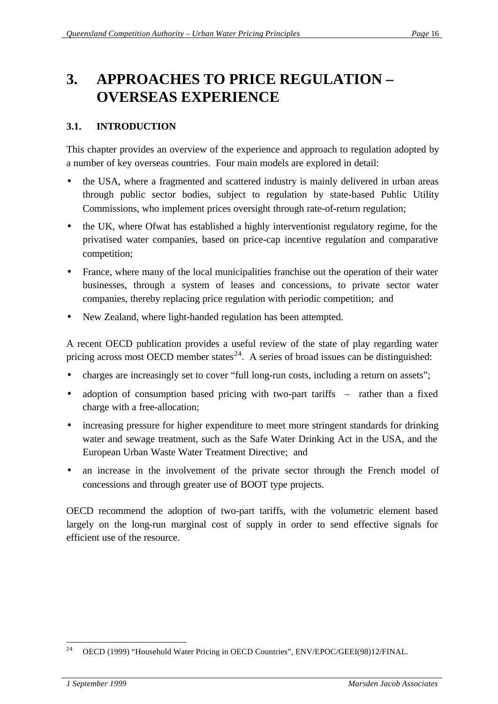## **3. APPROACHES TO PRICE REGULATION – OVERSEAS EXPERIENCE**

## **3.1. INTRODUCTION**

This chapter provides an overview of the experience and approach to regulation adopted by a number of key overseas countries. Four main models are explored in detail:

- the USA, where a fragmented and scattered industry is mainly delivered in urban areas through public sector bodies, subject to regulation by state-based Public Utility Commissions, who implement prices oversight through rate-of-return regulation;
- the UK, where Ofwat has established a highly interventionist regulatory regime, for the privatised water companies, based on price-cap incentive regulation and comparative competition;
- France, where many of the local municipalities franchise out the operation of their water businesses, through a system of leases and concessions, to private sector water companies, thereby replacing price regulation with periodic competition; and
- New Zealand, where light-handed regulation has been attempted.

A recent OECD publication provides a useful review of the state of play regarding water pricing across most OECD member states<sup>24</sup>. A series of broad issues can be distinguished:

- charges are increasingly set to cover "full long-run costs, including a return on assets";
- adoption of consumption based pricing with two-part tariffs rather than a fixed charge with a free-allocation;
- increasing pressure for higher expenditure to meet more stringent standards for drinking water and sewage treatment, such as the Safe Water Drinking Act in the USA, and the European Urban Waste Water Treatment Directive; and
- an increase in the involvement of the private sector through the French model of concessions and through greater use of BOOT type projects.

OECD recommend the adoption of two-part tariffs, with the volumetric element based largely on the long-run marginal cost of supply in order to send effective signals for efficient use of the resource.

 <sup>24</sup> OECD (1999) "Household Water Pricing in OECD Countries", ENV/EPOC/GEEI(98)12/FINAL.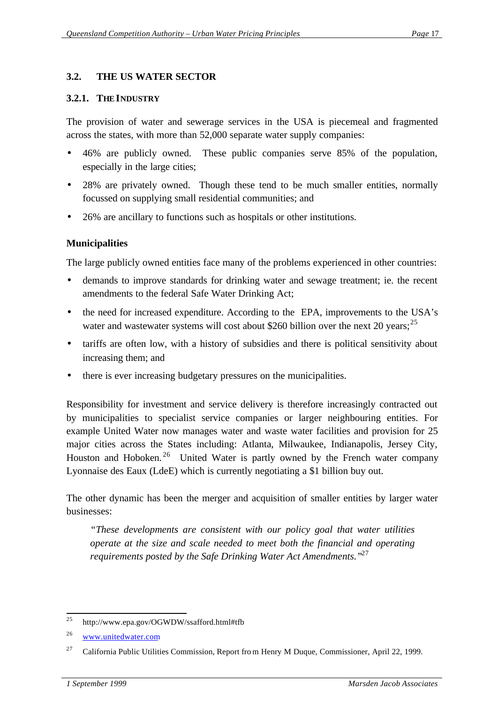#### **3.2. THE US WATER SECTOR**

#### **3.2.1. THE INDUSTRY**

The provision of water and sewerage services in the USA is piecemeal and fragmented across the states, with more than 52,000 separate water supply companies:

- 46% are publicly owned. These public companies serve 85% of the population, especially in the large cities;
- 28% are privately owned. Though these tend to be much smaller entities, normally focussed on supplying small residential communities; and
- 26% are ancillary to functions such as hospitals or other institutions.

### **Municipalities**

The large publicly owned entities face many of the problems experienced in other countries:

- demands to improve standards for drinking water and sewage treatment; ie. the recent amendments to the federal Safe Water Drinking Act;
- the need for increased expenditure. According to the EPA, improvements to the USA's water and wastewater systems will cost about \$260 billion over the next 20 years;  $^{25}$
- tariffs are often low, with a history of subsidies and there is political sensitivity about increasing them; and
- there is ever increasing budgetary pressures on the municipalities.

Responsibility for investment and service delivery is therefore increasingly contracted out by municipalities to specialist service companies or larger neighbouring entities. For example United Water now manages water and waste water facilities and provision for 25 major cities across the States including: Atlanta, Milwaukee, Indianapolis, Jersey City, Houston and Hoboken.<sup>26</sup> United Water is partly owned by the French water company Lyonnaise des Eaux (LdeE) which is currently negotiating a \$1 billion buy out.

The other dynamic has been the merger and acquisition of smaller entities by larger water businesses:

*"These developments are consistent with our policy goal that water utilities operate at the size and scale needed to meet both the financial and operating requirements posted by the Safe Drinking Water Act Amendments."*<sup>27</sup>

 <sup>25</sup> http://www.epa.gov/OGWDW/ssafford.html#tfb

<sup>26</sup> www.unitedwater.com

<sup>&</sup>lt;sup>27</sup> California Public Utilities Commission, Report fro m Henry M Duque, Commissioner, April 22, 1999.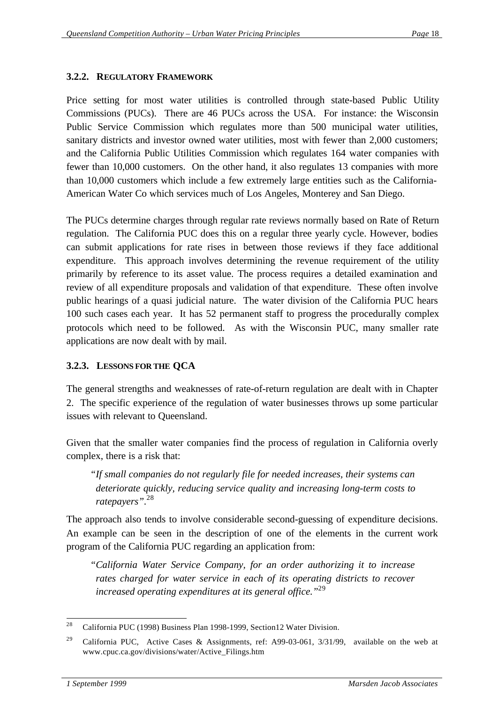## **3.2.2. REGULATORY FRAMEWORK**

Price setting for most water utilities is controlled through state-based Public Utility Commissions (PUCs). There are 46 PUCs across the USA. For instance: the Wisconsin Public Service Commission which regulates more than 500 municipal water utilities, sanitary districts and investor owned water utilities, most with fewer than 2,000 customers; and the California Public Utilities Commission which regulates 164 water companies with fewer than 10,000 customers. On the other hand, it also regulates 13 companies with more than 10,000 customers which include a few extremely large entities such as the California-American Water Co which services much of Los Angeles, Monterey and San Diego.

The PUCs determine charges through regular rate reviews normally based on Rate of Return regulation. The California PUC does this on a regular three yearly cycle. However, bodies can submit applications for rate rises in between those reviews if they face additional expenditure. This approach involves determining the revenue requirement of the utility primarily by reference to its asset value. The process requires a detailed examination and review of all expenditure proposals and validation of that expenditure. These often involve public hearings of a quasi judicial nature. The water division of the California PUC hears 100 such cases each year. It has 52 permanent staff to progress the procedurally complex protocols which need to be followed. As with the Wisconsin PUC, many smaller rate applications are now dealt with by mail.

## **3.2.3. LESSONS FOR THE QCA**

The general strengths and weaknesses of rate-of-return regulation are dealt with in Chapter 2. The specific experience of the regulation of water businesses throws up some particular issues with relevant to Queensland.

Given that the smaller water companies find the process of regulation in California overly complex, there is a risk that:

*"If small companies do not regularly file for needed increases, their systems can deteriorate quickly, reducing service quality and increasing long-term costs to ratepayers".*<sup>28</sup>

The approach also tends to involve considerable second-guessing of expenditure decisions. An example can be seen in the description of one of the elements in the current work program of the California PUC regarding an application from:

*"California Water Service Company, for an order authorizing it to increase rates charged for water service in each of its operating districts to recover increased operating expenditures at its general office."*<sup>29</sup>

 California PUC (1998) Business Plan 1998-1999, Section12 Water Division.

<sup>&</sup>lt;sup>29</sup> California PUC, Active Cases & Assignments, ref: A99-03-061, 3/31/99, available on the web at www.cpuc.ca.gov/divisions/water/Active\_Filings.htm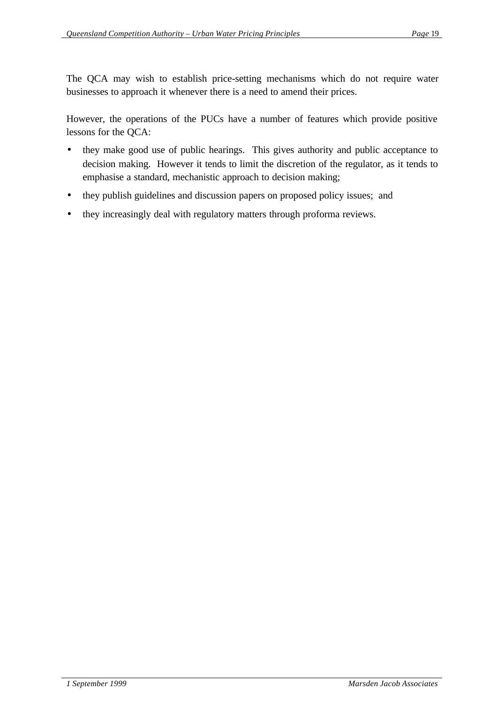The QCA may wish to establish price-setting mechanisms which do not require water businesses to approach it whenever there is a need to amend their prices.

However, the operations of the PUCs have a number of features which provide positive lessons for the QCA:

- they make good use of public hearings. This gives authority and public acceptance to decision making. However it tends to limit the discretion of the regulator, as it tends to emphasise a standard, mechanistic approach to decision making;
- they publish guidelines and discussion papers on proposed policy issues; and
- they increasingly deal with regulatory matters through proforma reviews.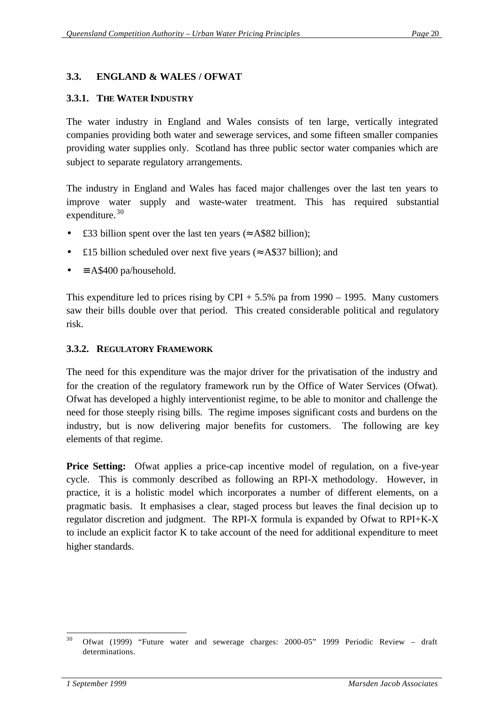### **3.3. ENGLAND & WALES / OFWAT**

#### **3.3.1. THE WATER INDUSTRY**

The water industry in England and Wales consists of ten large, vertically integrated companies providing both water and sewerage services, and some fifteen smaller companies providing water supplies only. Scotland has three public sector water companies which are subject to separate regulatory arrangements.

The industry in England and Wales has faced major challenges over the last ten years to improve water supply and waste-water treatment. This has required substantial expenditure.<sup>30</sup>

- £33 billion spent over the last ten years ( $\approx$  A\$82 billion);
- £15 billion scheduled over next five years ( $\approx$  A\$37 billion); and
- $\equiv$  A\$400 pa/household.

This expenditure led to prices rising by  $CPI + 5.5\%$  pa from 1990 – 1995. Many customers saw their bills double over that period. This created considerable political and regulatory risk.

#### **3.3.2. REGULATORY FRAMEWORK**

The need for this expenditure was the major driver for the privatisation of the industry and for the creation of the regulatory framework run by the Office of Water Services (Ofwat). Ofwat has developed a highly interventionist regime, to be able to monitor and challenge the need for those steeply rising bills. The regime imposes significant costs and burdens on the industry, but is now delivering major benefits for customers. The following are key elements of that regime.

**Price Setting:** Ofwat applies a price-cap incentive model of regulation, on a five-year cycle. This is commonly described as following an RPI-X methodology. However, in practice, it is a holistic model which incorporates a number of different elements, on a pragmatic basis. It emphasises a clear, staged process but leaves the final decision up to regulator discretion and judgment. The RPI-X formula is expanded by Ofwat to RPI+K-X to include an explicit factor K to take account of the need for additional expenditure to meet higher standards.

 <sup>30</sup> Ofwat (1999) "Future water and sewerage charges: 2000-05" 1999 Periodic Review – draft determinations.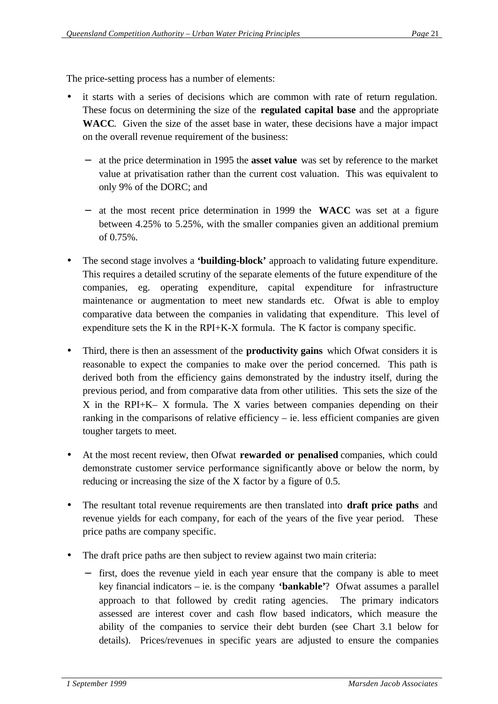The price-setting process has a number of elements:

- it starts with a series of decisions which are common with rate of return regulation. These focus on determining the size of the **regulated capital base** and the appropriate **WACC**. Given the size of the asset base in water, these decisions have a major impact on the overall revenue requirement of the business:
	- − at the price determination in 1995 the **asset value** was set by reference to the market value at privatisation rather than the current cost valuation. This was equivalent to only 9% of the DORC; and
	- − at the most recent price determination in 1999 the **WACC** was set at a figure between 4.25% to 5.25%, with the smaller companies given an additional premium of 0.75%.
- The second stage involves a **'building-block'** approach to validating future expenditure. This requires a detailed scrutiny of the separate elements of the future expenditure of the companies, eg. operating expenditure, capital expenditure for infrastructure maintenance or augmentation to meet new standards etc. Ofwat is able to employ comparative data between the companies in validating that expenditure. This level of expenditure sets the K in the RPI+K-X formula. The K factor is company specific.
- Third, there is then an assessment of the **productivity gains** which Ofwat considers it is reasonable to expect the companies to make over the period concerned. This path is derived both from the efficiency gains demonstrated by the industry itself, during the previous period, and from comparative data from other utilities. This sets the size of the X in the RPI+K– X formula. The X varies between companies depending on their ranking in the comparisons of relative efficiency – ie. less efficient companies are given tougher targets to meet.
- At the most recent review, then Ofwat **rewarded or penalised** companies, which could demonstrate customer service performance significantly above or below the norm, by reducing or increasing the size of the X factor by a figure of 0.5.
- The resultant total revenue requirements are then translated into **draft price paths** and revenue yields for each company, for each of the years of the five year period. These price paths are company specific.
- The draft price paths are then subject to review against two main criteria:
	- first, does the revenue yield in each year ensure that the company is able to meet key financial indicators – ie. is the company **'bankable'**? Ofwat assumes a parallel approach to that followed by credit rating agencies. The primary indicators assessed are interest cover and cash flow based indicators, which measure the ability of the companies to service their debt burden (see Chart 3.1 below for details). Prices/revenues in specific years are adjusted to ensure the companies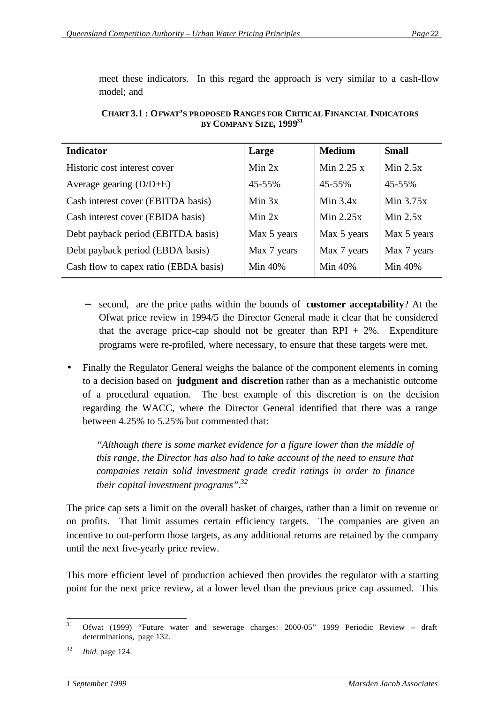meet these indicators. In this regard the approach is very similar to a cash-flow model; and

| <b>Indicator</b>                      | Large       | <b>Medium</b> | <b>Small</b> |
|---------------------------------------|-------------|---------------|--------------|
| Historic cost interest cover          | Min 2x      | Min $2.25x$   | Min $2.5x$   |
| Average gearing $(D/D+E)$             | 45-55%      | 45-55%        | 45-55%       |
| Cash interest cover (EBITDA basis)    | Min 3x      | Min $3.4x$    | Min $3.75x$  |
| Cash interest cover (EBIDA basis)     | Min $2x$    | Min $2.25x$   | Min $2.5x$   |
| Debt payback period (EBITDA basis)    | Max 5 years | Max 5 years   | Max 5 years  |
| Debt payback period (EBDA basis)      | Max 7 years | Max 7 years   | Max 7 years  |
| Cash flow to capex ratio (EBDA basis) | Min 40%     | Min 40%       | Min 40%      |

**CHART 3.1 : OFWAT'S PROPOSED RANGES FOR CRITICAL FINANCIAL INDICATORS BY COMPANY SIZE, 1999<sup>31</sup>**

- − second, are the price paths within the bounds of **customer acceptability**? At the Ofwat price review in 1994/5 the Director General made it clear that he considered that the average price-cap should not be greater than  $RPI + 2\%$ . Expenditure programs were re-profiled, where necessary, to ensure that these targets were met.
- Finally the Regulator General weighs the balance of the component elements in coming to a decision based on **judgment and discretion** rather than as a mechanistic outcome of a procedural equation. The best example of this discretion is on the decision regarding the WACC, where the Director General identified that there was a range between 4.25% to 5.25% but commented that:

*"Although there is some market evidence for a figure lower than the middle of this range, the Director has also had to take account of the need to ensure that companies retain solid investment grade credit ratings in order to finance their capital investment programs".<sup>32</sup>*

The price cap sets a limit on the overall basket of charges, rather than a limit on revenue or on profits. That limit assumes certain efficiency targets. The companies are given an incentive to out-perform those targets, as any additional returns are retained by the company until the next five-yearly price review.

This more efficient level of production achieved then provides the regulator with a starting point for the next price review, at a lower level than the previous price cap assumed. This

 <sup>31</sup> Ofwat (1999) "Future water and sewerage charges: 2000-05" 1999 Periodic Review – draft determinations, page 132.

<sup>32</sup> *Ibid.* page 124.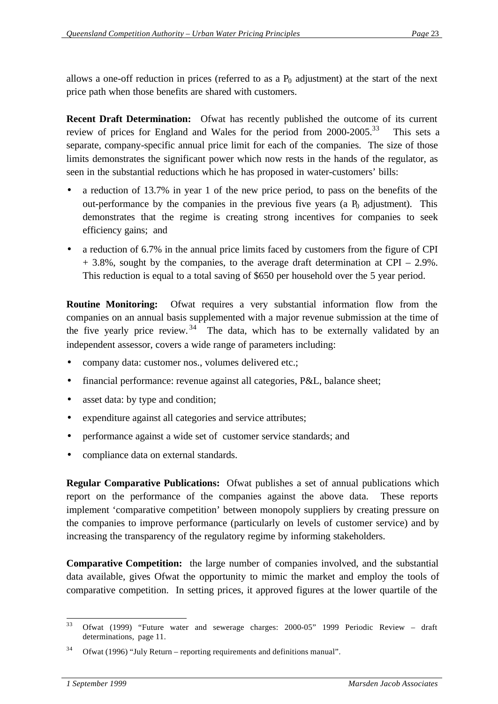allows a one-off reduction in prices (referred to as a  $P_0$  adjustment) at the start of the next price path when those benefits are shared with customers.

**Recent Draft Determination:** Ofwat has recently published the outcome of its current review of prices for England and Wales for the period from 2000-2005.<sup>33</sup> This sets a separate, company-specific annual price limit for each of the companies. The size of those limits demonstrates the significant power which now rests in the hands of the regulator, as seen in the substantial reductions which he has proposed in water-customers' bills:

- a reduction of 13.7% in year 1 of the new price period, to pass on the benefits of the out-performance by the companies in the previous five years (a  $P_0$  adjustment). This demonstrates that the regime is creating strong incentives for companies to seek efficiency gains; and
- a reduction of 6.7% in the annual price limits faced by customers from the figure of CPI + 3.8%, sought by the companies, to the average draft determination at CPI – 2.9%. This reduction is equal to a total saving of \$650 per household over the 5 year period.

**Routine Monitoring:** Ofwat requires a very substantial information flow from the companies on an annual basis supplemented with a major revenue submission at the time of the five yearly price review.  $34$  The data, which has to be externally validated by an independent assessor, covers a wide range of parameters including:

- company data: customer nos., volumes delivered etc.;
- financial performance: revenue against all categories, P&L, balance sheet;
- asset data: by type and condition;
- expenditure against all categories and service attributes;
- performance against a wide set of customer service standards; and
- compliance data on external standards.

**Regular Comparative Publications:** Ofwat publishes a set of annual publications which report on the performance of the companies against the above data. These reports implement 'comparative competition' between monopoly suppliers by creating pressure on the companies to improve performance (particularly on levels of customer service) and by increasing the transparency of the regulatory regime by informing stakeholders.

**Comparative Competition:** the large number of companies involved, and the substantial data available, gives Ofwat the opportunity to mimic the market and employ the tools of comparative competition. In setting prices, it approved figures at the lower quartile of the

 <sup>33</sup> Ofwat (1999) "Future water and sewerage charges: 2000-05" 1999 Periodic Review – draft determinations, page 11.

 $34$  Ofwat (1996) "July Return – reporting requirements and definitions manual".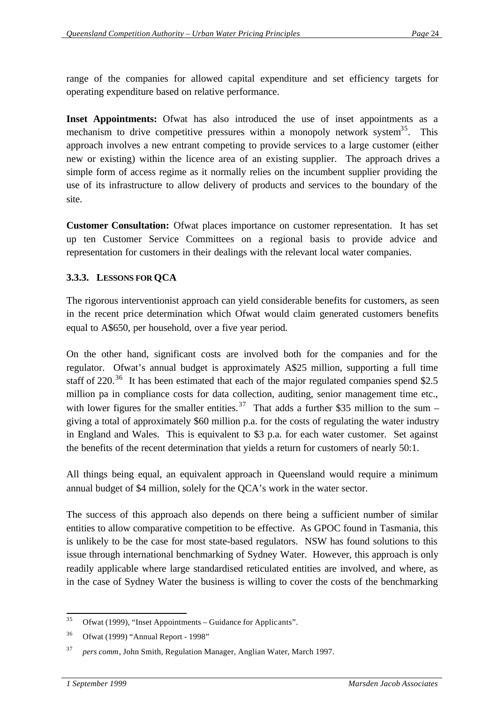range of the companies for allowed capital expenditure and set efficiency targets for operating expenditure based on relative performance.

**Inset Appointments:** Ofwat has also introduced the use of inset appointments as a mechanism to drive competitive pressures within a monopoly network system<sup>35</sup>. This approach involves a new entrant competing to provide services to a large customer (either new or existing) within the licence area of an existing supplier. The approach drives a simple form of access regime as it normally relies on the incumbent supplier providing the use of its infrastructure to allow delivery of products and services to the boundary of the site.

**Customer Consultation:** Ofwat places importance on customer representation. It has set up ten Customer Service Committees on a regional basis to provide advice and representation for customers in their dealings with the relevant local water companies.

## **3.3.3. LESSONS FOR QCA**

The rigorous interventionist approach can yield considerable benefits for customers, as seen in the recent price determination which Ofwat would claim generated customers benefits equal to A\$650, per household, over a five year period.

On the other hand, significant costs are involved both for the companies and for the regulator. Ofwat's annual budget is approximately A\$25 million, supporting a full time staff of  $220^{36}$  It has been estimated that each of the major regulated companies spend \$2.5 million pa in compliance costs for data collection, auditing, senior management time etc., with lower figures for the smaller entities.<sup>37</sup> That adds a further \$35 million to the sum – giving a total of approximately \$60 million p.a. for the costs of regulating the water industry in England and Wales. This is equivalent to \$3 p.a. for each water customer. Set against the benefits of the recent determination that yields a return for customers of nearly 50:1.

All things being equal, an equivalent approach in Queensland would require a minimum annual budget of \$4 million, solely for the QCA's work in the water sector.

The success of this approach also depends on there being a sufficient number of similar entities to allow comparative competition to be effective. As GPOC found in Tasmania, this is unlikely to be the case for most state-based regulators. NSW has found solutions to this issue through international benchmarking of Sydney Water. However, this approach is only readily applicable where large standardised reticulated entities are involved, and where, as in the case of Sydney Water the business is willing to cover the costs of the benchmarking

 Ofwat (1999), "Inset Appointments – Guidance for Applicants".

<sup>36</sup> Ofwat (1999) "Annual Report - 1998"

<sup>37</sup> *pers comm*, John Smith, Regulation Manager, Anglian Water, March 1997.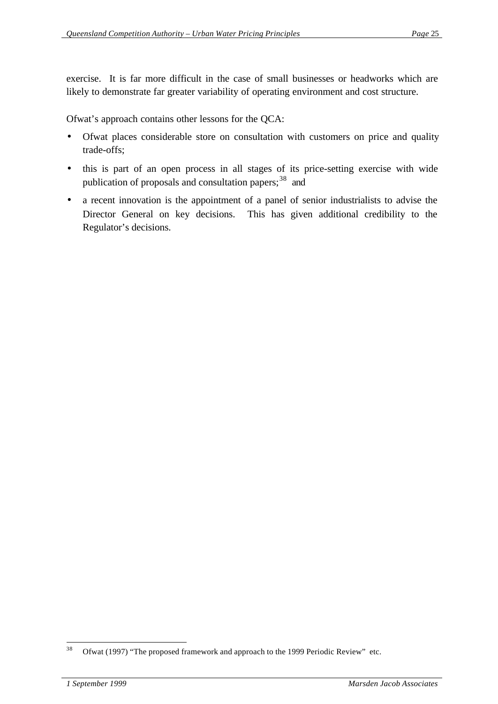exercise. It is far more difficult in the case of small businesses or headworks which are likely to demonstrate far greater variability of operating environment and cost structure.

Ofwat's approach contains other lessons for the QCA:

- Ofwat places considerable store on consultation with customers on price and quality trade-offs;
- this is part of an open process in all stages of its price-setting exercise with wide publication of proposals and consultation papers;<sup>38</sup> and
- a recent innovation is the appointment of a panel of senior industrialists to advise the Director General on key decisions. This has given additional credibility to the Regulator's decisions.

 Ofwat (1997) "The proposed framework and approach to the 1999 Periodic Review" etc.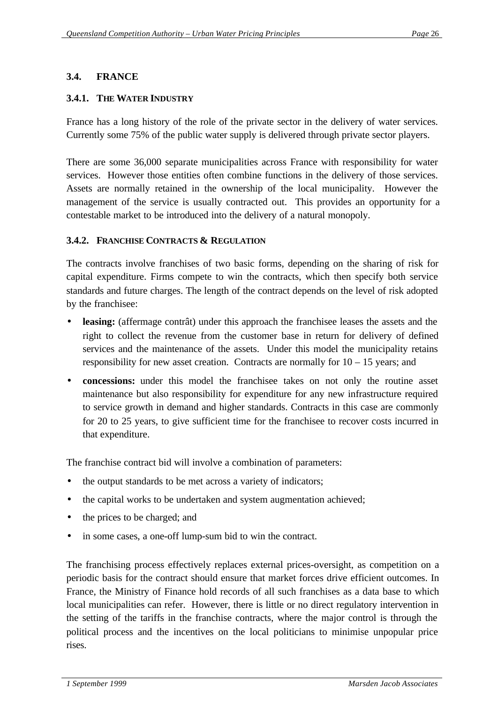## **3.4. FRANCE**

#### **3.4.1. THE WATER INDUSTRY**

France has a long history of the role of the private sector in the delivery of water services. Currently some 75% of the public water supply is delivered through private sector players.

There are some 36,000 separate municipalities across France with responsibility for water services. However those entities often combine functions in the delivery of those services. Assets are normally retained in the ownership of the local municipality. However the management of the service is usually contracted out. This provides an opportunity for a contestable market to be introduced into the delivery of a natural monopoly.

#### **3.4.2. FRANCHISE CONTRACTS & REGULATION**

The contracts involve franchises of two basic forms, depending on the sharing of risk for capital expenditure. Firms compete to win the contracts, which then specify both service standards and future charges. The length of the contract depends on the level of risk adopted by the franchisee:

- **leasing:** (affermage contrât) under this approach the franchisee leases the assets and the right to collect the revenue from the customer base in return for delivery of defined services and the maintenance of the assets. Under this model the municipality retains responsibility for new asset creation. Contracts are normally for  $10 - 15$  years; and
- **concessions:** under this model the franchisee takes on not only the routine asset maintenance but also responsibility for expenditure for any new infrastructure required to service growth in demand and higher standards. Contracts in this case are commonly for 20 to 25 years, to give sufficient time for the franchisee to recover costs incurred in that expenditure.

The franchise contract bid will involve a combination of parameters:

- the output standards to be met across a variety of indicators;
- the capital works to be undertaken and system augmentation achieved;
- the prices to be charged; and
- in some cases, a one-off lump-sum bid to win the contract.

The franchising process effectively replaces external prices-oversight, as competition on a periodic basis for the contract should ensure that market forces drive efficient outcomes. In France, the Ministry of Finance hold records of all such franchises as a data base to which local municipalities can refer. However, there is little or no direct regulatory intervention in the setting of the tariffs in the franchise contracts, where the major control is through the political process and the incentives on the local politicians to minimise unpopular price rises.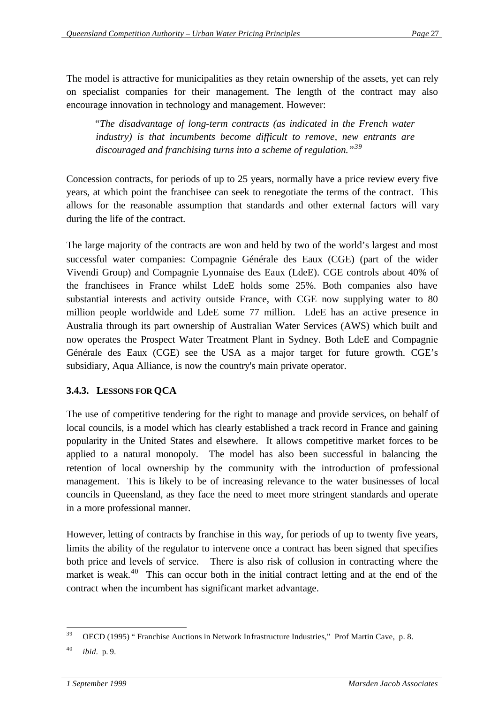The model is attractive for municipalities as they retain ownership of the assets, yet can rely on specialist companies for their management. The length of the contract may also encourage innovation in technology and management. However:

 *"The disadvantage of long-term contracts (as indicated in the French water industry) is that incumbents become difficult to remove, new entrants are discouraged and franchising turns into a scheme of regulation."<sup>39</sup>*

Concession contracts, for periods of up to 25 years, normally have a price review every five years, at which point the franchisee can seek to renegotiate the terms of the contract. This allows for the reasonable assumption that standards and other external factors will vary during the life of the contract.

The large majority of the contracts are won and held by two of the world's largest and most successful water companies: Compagnie Générale des Eaux (CGE) (part of the wider Vivendi Group) and Compagnie Lyonnaise des Eaux (LdeE). CGE controls about 40% of the franchisees in France whilst LdeE holds some 25%. Both companies also have substantial interests and activity outside France, with CGE now supplying water to 80 million people worldwide and LdeE some 77 million. LdeE has an active presence in Australia through its part ownership of Australian Water Services (AWS) which built and now operates the Prospect Water Treatment Plant in Sydney. Both LdeE and Compagnie Générale des Eaux (CGE) see the USA as a major target for future growth. CGE's subsidiary, Aqua Alliance, is now the country's main private operator.

## **3.4.3. LESSONS FOR QCA**

The use of competitive tendering for the right to manage and provide services, on behalf of local councils, is a model which has clearly established a track record in France and gaining popularity in the United States and elsewhere. It allows competitive market forces to be applied to a natural monopoly. The model has also been successful in balancing the retention of local ownership by the community with the introduction of professional management. This is likely to be of increasing relevance to the water businesses of local councils in Queensland, as they face the need to meet more stringent standards and operate in a more professional manner.

However, letting of contracts by franchise in this way, for periods of up to twenty five years, limits the ability of the regulator to intervene once a contract has been signed that specifies both price and levels of service. There is also risk of collusion in contracting where the market is weak.<sup>40</sup> This can occur both in the initial contract letting and at the end of the contract when the incumbent has significant market advantage.

 OECD (1995) " Franchise Auctions in Network Infrastructure Industries," Prof Martin Cave, p. 8.

<sup>40</sup> *ibid.* p. 9.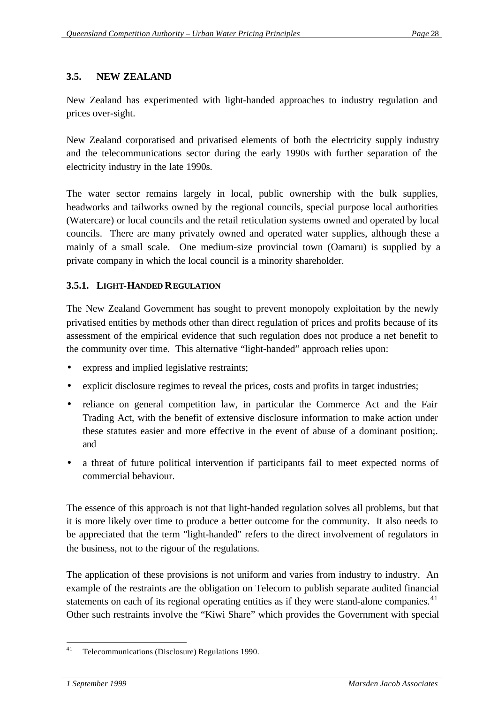#### **3.5. NEW ZEALAND**

New Zealand has experimented with light-handed approaches to industry regulation and prices over-sight.

New Zealand corporatised and privatised elements of both the electricity supply industry and the telecommunications sector during the early 1990s with further separation of the electricity industry in the late 1990s.

The water sector remains largely in local, public ownership with the bulk supplies, headworks and tailworks owned by the regional councils, special purpose local authorities (Watercare) or local councils and the retail reticulation systems owned and operated by local councils. There are many privately owned and operated water supplies, although these a mainly of a small scale. One medium-size provincial town (Oamaru) is supplied by a private company in which the local council is a minority shareholder.

#### **3.5.1. LIGHT-HANDED REGULATION**

The New Zealand Government has sought to prevent monopoly exploitation by the newly privatised entities by methods other than direct regulation of prices and profits because of its assessment of the empirical evidence that such regulation does not produce a net benefit to the community over time. This alternative "light-handed" approach relies upon:

- express and implied legislative restraints;
- explicit disclosure regimes to reveal the prices, costs and profits in target industries;
- reliance on general competition law, in particular the Commerce Act and the Fair Trading Act, with the benefit of extensive disclosure information to make action under these statutes easier and more effective in the event of abuse of a dominant position;. and
- a threat of future political intervention if participants fail to meet expected norms of commercial behaviour.

The essence of this approach is not that light-handed regulation solves all problems, but that it is more likely over time to produce a better outcome for the community. It also needs to be appreciated that the term "light-handed" refers to the direct involvement of regulators in the business, not to the rigour of the regulations.

The application of these provisions is not uniform and varies from industry to industry. An example of the restraints are the obligation on Telecom to publish separate audited financial statements on each of its regional operating entities as if they were stand-alone companies.<sup>41</sup> Other such restraints involve the "Kiwi Share" which provides the Government with special

 $\overline{41}$ <sup>41</sup> Telecommunications (Disclosure) Regulations 1990.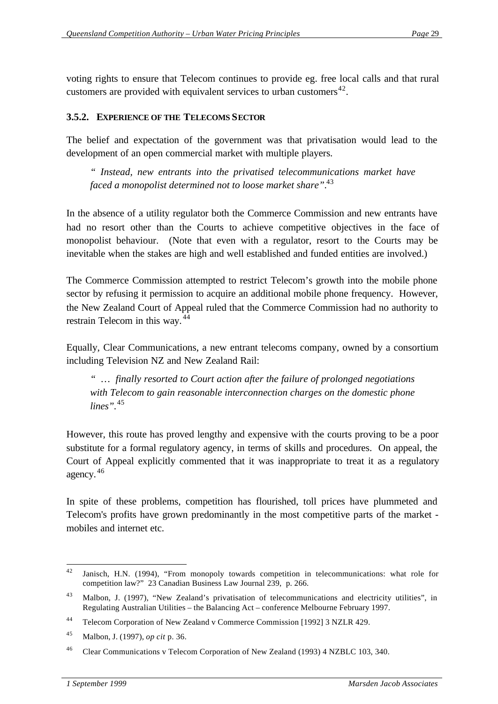voting rights to ensure that Telecom continues to provide eg. free local calls and that rural customers are provided with equivalent services to urban customers<sup>42</sup>.

## **3.5.2. EXPERIENCE OF THE TELECOMS SECTOR**

The belief and expectation of the government was that privatisation would lead to the development of an open commercial market with multiple players.

*" Instead, new entrants into the privatised telecommunications market have faced a monopolist determined not to loose market share".*<sup>43</sup>

In the absence of a utility regulator both the Commerce Commission and new entrants have had no resort other than the Courts to achieve competitive objectives in the face of monopolist behaviour. (Note that even with a regulator, resort to the Courts may be inevitable when the stakes are high and well established and funded entities are involved.)

The Commerce Commission attempted to restrict Telecom's growth into the mobile phone sector by refusing it permission to acquire an additional mobile phone frequency. However, the New Zealand Court of Appeal ruled that the Commerce Commission had no authority to restrain Telecom in this way. <sup>44</sup>

Equally, Clear Communications, a new entrant telecoms company, owned by a consortium including Television NZ and New Zealand Rail:

*" … finally resorted to Court action after the failure of prolonged negotiations with Telecom to gain reasonable interconnection charges on the domestic phone lines".*<sup>45</sup>

However, this route has proved lengthy and expensive with the courts proving to be a poor substitute for a formal regulatory agency, in terms of skills and procedures. On appeal, the Court of Appeal explicitly commented that it was inappropriate to treat it as a regulatory agency. <sup>46</sup>

In spite of these problems, competition has flourished, toll prices have plummeted and Telecom's profits have grown predominantly in the most competitive parts of the market mobiles and internet etc.

 Janisch, H.N. (1994), "From monopoly towards competition in telecommunications: what role for competition law?" 23 Canadian Business Law Journal 239, p. 266.

<sup>43</sup> Malbon, J. (1997), "New Zealand's privatisation of telecommunications and electricity utilities", in Regulating Australian Utilities – the Balancing Act – conference Melbourne February 1997.

<sup>44</sup> Telecom Corporation of New Zealand v Commerce Commission [1992] 3 NZLR 429.

<sup>45</sup> Malbon, J. (1997), *op cit* p. 36.

<sup>46</sup> Clear Communications v Telecom Corporation of New Zealand (1993) 4 NZBLC 103, 340.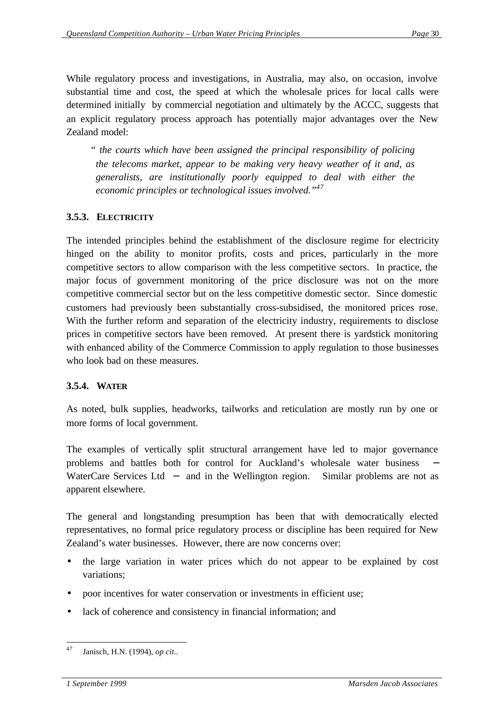While regulatory process and investigations, in Australia, may also, on occasion, involve substantial time and cost, the speed at which the wholesale prices for local calls were determined initially by commercial negotiation and ultimately by the ACCC, suggests that an explicit regulatory process approach has potentially major advantages over the New Zealand model:

*" the courts which have been assigned the principal responsibility of policing the telecoms market, appear to be making very heavy weather of it and, as generalists, are institutionally poorly equipped to deal with either the economic principles or technological issues involved."<sup>47</sup>*

## **3.5.3. ELECTRICITY**

The intended principles behind the establishment of the disclosure regime for electricity hinged on the ability to monitor profits, costs and prices, particularly in the more competitive sectors to allow comparison with the less competitive sectors. In practice, the major focus of government monitoring of the price disclosure was not on the more competitive commercial sector but on the less competitive domestic sector. Since domestic customers had previously been substantially cross-subsidised, the monitored prices rose. With the further reform and separation of the electricity industry, requirements to disclose prices in competitive sectors have been removed. At present there is yardstick monitoring with enhanced ability of the Commerce Commission to apply regulation to those businesses who look bad on these measures.

#### **3.5.4. WATER**

As noted, bulk supplies, headworks, tailworks and reticulation are mostly run by one or more forms of local government.

The examples of vertically split structural arrangement have led to major governance problems and battles both for control for Auckland's wholesale water business WaterCare Services Ltd – and in the Wellington region. Similar problems are not as apparent elsewhere.

The general and longstanding presumption has been that with democratically elected representatives, no formal price regulatory process or discipline has been required for New Zealand's water businesses. However, there are now concerns over:

- the large variation in water prices which do not appear to be explained by cost variations;
- poor incentives for water conservation or investments in efficient use;
- lack of coherence and consistency in financial information; and

 <sup>47</sup> Janisch, H.N. (1994), *op cit..*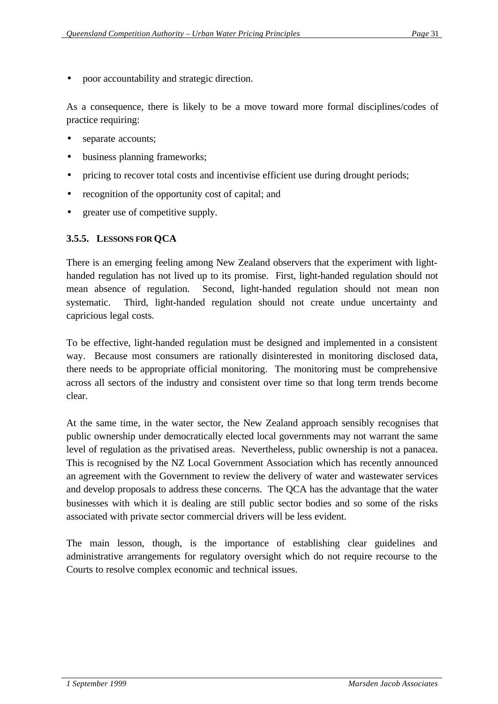• poor accountability and strategic direction.

As a consequence, there is likely to be a move toward more formal disciplines/codes of practice requiring:

- separate accounts;
- business planning frameworks;
- pricing to recover total costs and incentivise efficient use during drought periods;
- recognition of the opportunity cost of capital; and
- greater use of competitive supply.

### **3.5.5. LESSONS FOR QCA**

There is an emerging feeling among New Zealand observers that the experiment with lighthanded regulation has not lived up to its promise. First, light-handed regulation should not mean absence of regulation. Second, light-handed regulation should not mean non systematic. Third, light-handed regulation should not create undue uncertainty and capricious legal costs.

To be effective, light-handed regulation must be designed and implemented in a consistent way. Because most consumers are rationally disinterested in monitoring disclosed data, there needs to be appropriate official monitoring. The monitoring must be comprehensive across all sectors of the industry and consistent over time so that long term trends become clear.

At the same time, in the water sector, the New Zealand approach sensibly recognises that public ownership under democratically elected local governments may not warrant the same level of regulation as the privatised areas. Nevertheless, public ownership is not a panacea. This is recognised by the NZ Local Government Association which has recently announced an agreement with the Government to review the delivery of water and wastewater services and develop proposals to address these concerns. The QCA has the advantage that the water businesses with which it is dealing are still public sector bodies and so some of the risks associated with private sector commercial drivers will be less evident.

The main lesson, though, is the importance of establishing clear guidelines and administrative arrangements for regulatory oversight which do not require recourse to the Courts to resolve complex economic and technical issues.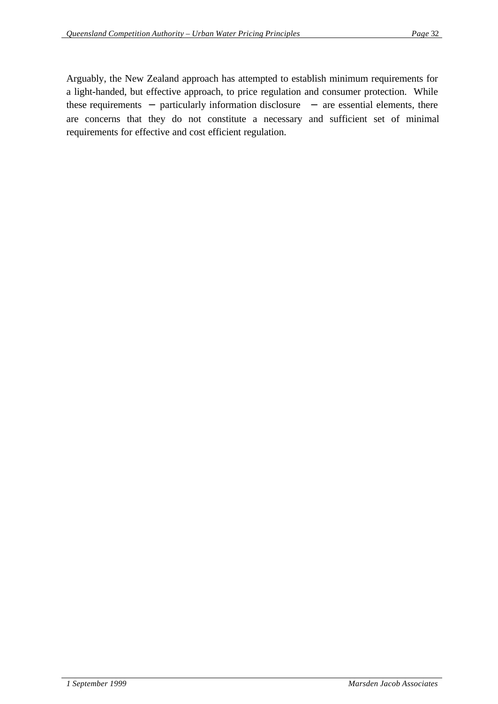Arguably, the New Zealand approach has attempted to establish minimum requirements for a light-handed, but effective approach, to price regulation and consumer protection. While these requirements − particularly information disclosure − are essential elements, there are concerns that they do not constitute a necessary and sufficient set of minimal requirements for effective and cost efficient regulation.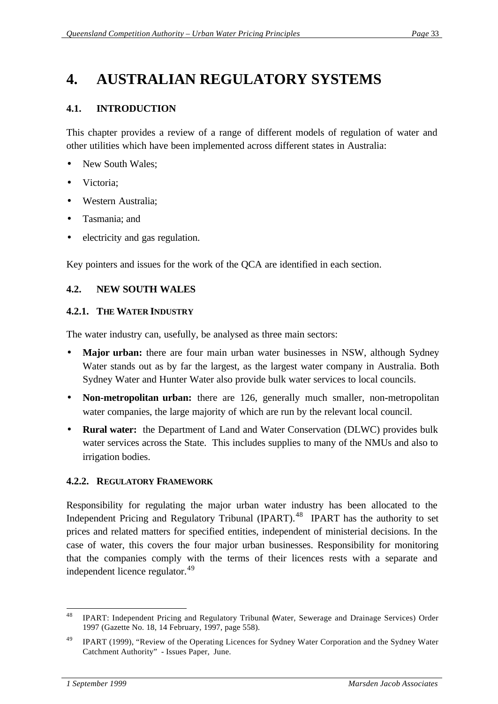## **4. AUSTRALIAN REGULATORY SYSTEMS**

## **4.1. INTRODUCTION**

This chapter provides a review of a range of different models of regulation of water and other utilities which have been implemented across different states in Australia:

- New South Wales;
- Victoria:
- Western Australia;
- Tasmania; and
- electricity and gas regulation.

Key pointers and issues for the work of the QCA are identified in each section.

#### **4.2. NEW SOUTH WALES**

#### **4.2.1. THE WATER INDUSTRY**

The water industry can, usefully, be analysed as three main sectors:

- **Major urban:** there are four main urban water businesses in NSW, although Sydney Water stands out as by far the largest, as the largest water company in Australia. Both Sydney Water and Hunter Water also provide bulk water services to local councils.
- **Non-metropolitan urban:** there are 126, generally much smaller, non-metropolitan water companies, the large majority of which are run by the relevant local council.
- **Rural water:** the Department of Land and Water Conservation (DLWC) provides bulk water services across the State. This includes supplies to many of the NMUs and also to irrigation bodies.

#### **4.2.2. REGULATORY FRAMEWORK**

Responsibility for regulating the major urban water industry has been allocated to the Independent Pricing and Regulatory Tribunal (IPART).<sup>48</sup> IPART has the authority to set prices and related matters for specified entities, independent of ministerial decisions. In the case of water, this covers the four major urban businesses. Responsibility for monitoring that the companies comply with the terms of their licences rests with a separate and independent licence regulator.<sup>49</sup>

<sup>48</sup> IPART: Independent Pricing and Regulatory Tribunal (Water, Sewerage and Drainage Services) Order 1997 (Gazette No. 18, 14 February, 1997, page 558).

<sup>&</sup>lt;sup>49</sup> IPART (1999), "Review of the Operating Licences for Sydney Water Corporation and the Sydney Water Catchment Authority" - Issues Paper, June.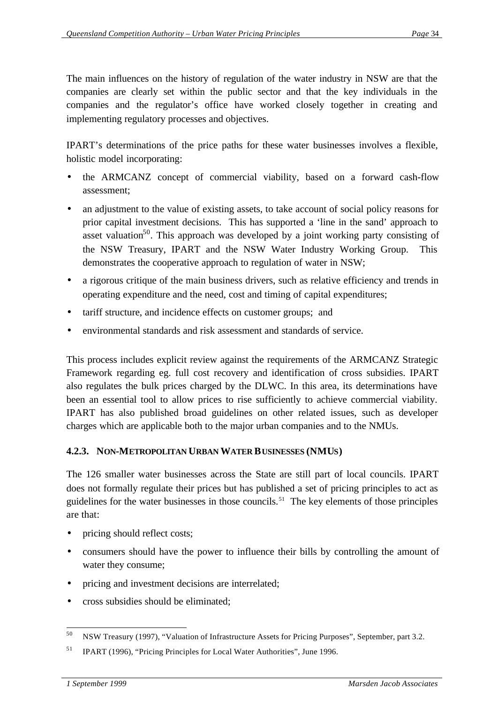The main influences on the history of regulation of the water industry in NSW are that the companies are clearly set within the public sector and that the key individuals in the companies and the regulator's office have worked closely together in creating and implementing regulatory processes and objectives.

IPART's determinations of the price paths for these water businesses involves a flexible, holistic model incorporating:

- the ARMCANZ concept of commercial viability, based on a forward cash-flow assessment;
- an adjustment to the value of existing assets, to take account of social policy reasons for prior capital investment decisions. This has supported a 'line in the sand' approach to asset valuation<sup>50</sup>. This approach was developed by a joint working party consisting of the NSW Treasury, IPART and the NSW Water Industry Working Group. This demonstrates the cooperative approach to regulation of water in NSW;
- a rigorous critique of the main business drivers, such as relative efficiency and trends in operating expenditure and the need, cost and timing of capital expenditures;
- tariff structure, and incidence effects on customer groups; and
- environmental standards and risk assessment and standards of service.

This process includes explicit review against the requirements of the ARMCANZ Strategic Framework regarding eg. full cost recovery and identification of cross subsidies. IPART also regulates the bulk prices charged by the DLWC. In this area, its determinations have been an essential tool to allow prices to rise sufficiently to achieve commercial viability. IPART has also published broad guidelines on other related issues, such as developer charges which are applicable both to the major urban companies and to the NMUs.

## **4.2.3. NON-METROPOLITAN URBAN WATER BUSINESSES (NMUS)**

The 126 smaller water businesses across the State are still part of local councils. IPART does not formally regulate their prices but has published a set of pricing principles to act as guidelines for the water businesses in those councils.<sup>51</sup> The key elements of those principles are that:

- pricing should reflect costs;
- consumers should have the power to influence their bills by controlling the amount of water they consume;
- pricing and investment decisions are interrelated;
- cross subsidies should be eliminated;

 <sup>50</sup> NSW Treasury (1997), "Valuation of Infrastructure Assets for Pricing Purposes", September, part 3.2.

<sup>51</sup> IPART (1996), "Pricing Principles for Local Water Authorities", June 1996.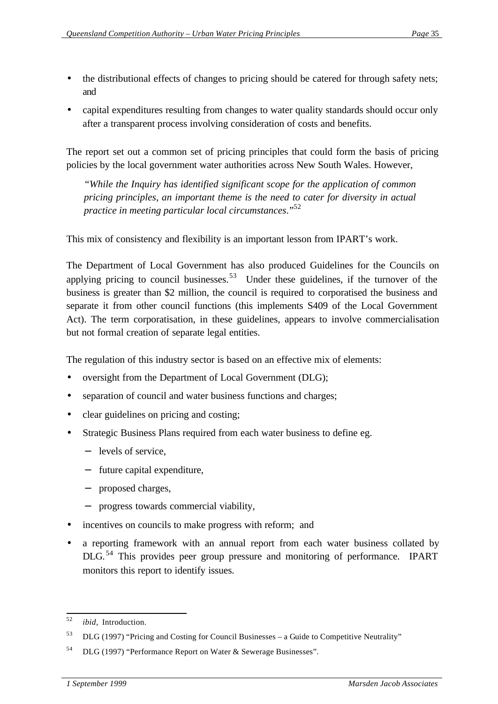- the distributional effects of changes to pricing should be catered for through safety nets; and
- capital expenditures resulting from changes to water quality standards should occur only after a transparent process involving consideration of costs and benefits.

The report set out a common set of pricing principles that could form the basis of pricing policies by the local government water authorities across New South Wales. However,

*"While the Inquiry has identified significant scope for the application of common pricing principles, an important theme is the need to cater for diversity in actual practice in meeting particular local circumstances*."<sup>52</sup>

This mix of consistency and flexibility is an important lesson from IPART's work.

The Department of Local Government has also produced Guidelines for the Councils on applying pricing to council businesses.<sup>53</sup> Under these guidelines, if the turnover of the business is greater than \$2 million, the council is required to corporatised the business and separate it from other council functions (this implements S409 of the Local Government Act). The term corporatisation, in these guidelines, appears to involve commercialisation but not formal creation of separate legal entities.

The regulation of this industry sector is based on an effective mix of elements:

- oversight from the Department of Local Government (DLG);
- separation of council and water business functions and charges;
- clear guidelines on pricing and costing;
- Strategic Business Plans required from each water business to define eg.
	- − levels of service,
	- − future capital expenditure,
	- − proposed charges,
	- − progress towards commercial viability,
- incentives on councils to make progress with reform; and
- a reporting framework with an annual report from each water business collated by DLG.<sup>54</sup> This provides peer group pressure and monitoring of performance. IPART monitors this report to identify issues.

 *ibid.* Introduction.

 $53$  DLG (1997) "Pricing and Costing for Council Businesses – a Guide to Competitive Neutrality"

<sup>54</sup> DLG (1997) "Performance Report on Water & Sewerage Businesses".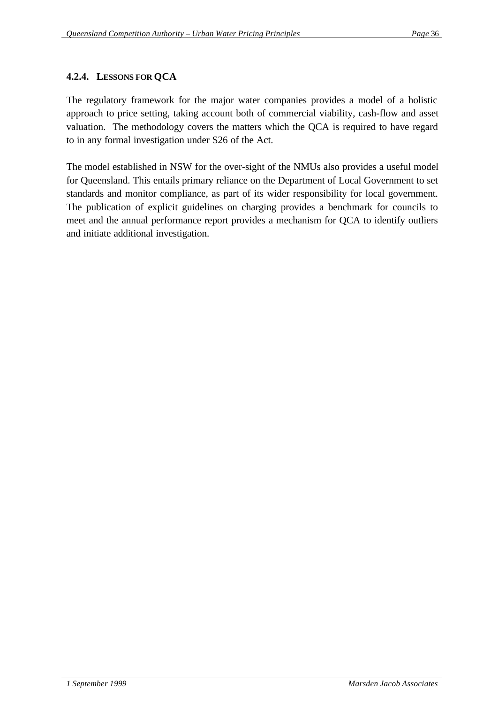## **4.2.4. LESSONS FOR QCA**

The regulatory framework for the major water companies provides a model of a holistic approach to price setting, taking account both of commercial viability, cash-flow and asset valuation. The methodology covers the matters which the QCA is required to have regard to in any formal investigation under S26 of the Act.

The model established in NSW for the over-sight of the NMUs also provides a useful model for Queensland. This entails primary reliance on the Department of Local Government to set standards and monitor compliance, as part of its wider responsibility for local government. The publication of explicit guidelines on charging provides a benchmark for councils to meet and the annual performance report provides a mechanism for QCA to identify outliers and initiate additional investigation.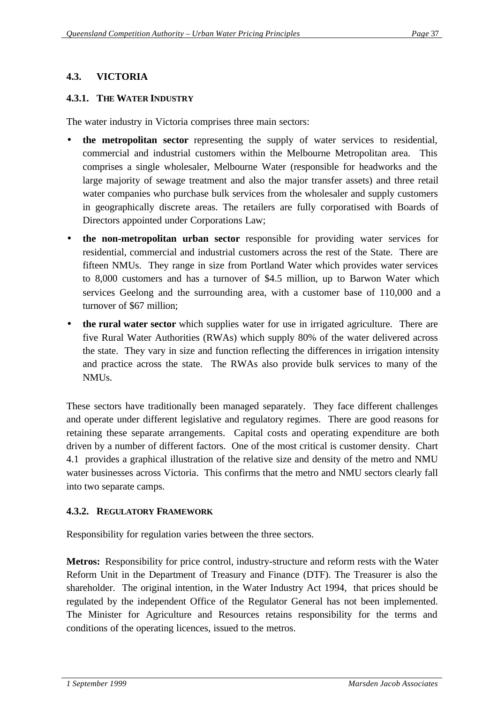## **4.3. VICTORIA**

#### **4.3.1. THE WATER INDUSTRY**

The water industry in Victoria comprises three main sectors:

- **the metropolitan sector** representing the supply of water services to residential, commercial and industrial customers within the Melbourne Metropolitan area. This comprises a single wholesaler, Melbourne Water (responsible for headworks and the large majority of sewage treatment and also the major transfer assets) and three retail water companies who purchase bulk services from the wholesaler and supply customers in geographically discrete areas. The retailers are fully corporatised with Boards of Directors appointed under Corporations Law;
- **the non-metropolitan urban sector** responsible for providing water services for residential, commercial and industrial customers across the rest of the State. There are fifteen NMUs. They range in size from Portland Water which provides water services to 8,000 customers and has a turnover of \$4.5 million, up to Barwon Water which services Geelong and the surrounding area, with a customer base of 110,000 and a turnover of \$67 million;
- **the rural water sector** which supplies water for use in irrigated agriculture. There are five Rural Water Authorities (RWAs) which supply 80% of the water delivered across the state. They vary in size and function reflecting the differences in irrigation intensity and practice across the state. The RWAs also provide bulk services to many of the NMUs.

These sectors have traditionally been managed separately. They face different challenges and operate under different legislative and regulatory regimes. There are good reasons for retaining these separate arrangements. Capital costs and operating expenditure are both driven by a number of different factors. One of the most critical is customer density. Chart 4.1 provides a graphical illustration of the relative size and density of the metro and NMU water businesses across Victoria. This confirms that the metro and NMU sectors clearly fall into two separate camps.

#### **4.3.2. REGULATORY FRAMEWORK**

Responsibility for regulation varies between the three sectors.

**Metros:** Responsibility for price control, industry-structure and reform rests with the Water Reform Unit in the Department of Treasury and Finance (DTF). The Treasurer is also the shareholder. The original intention, in the Water Industry Act 1994, that prices should be regulated by the independent Office of the Regulator General has not been implemented. The Minister for Agriculture and Resources retains responsibility for the terms and conditions of the operating licences, issued to the metros.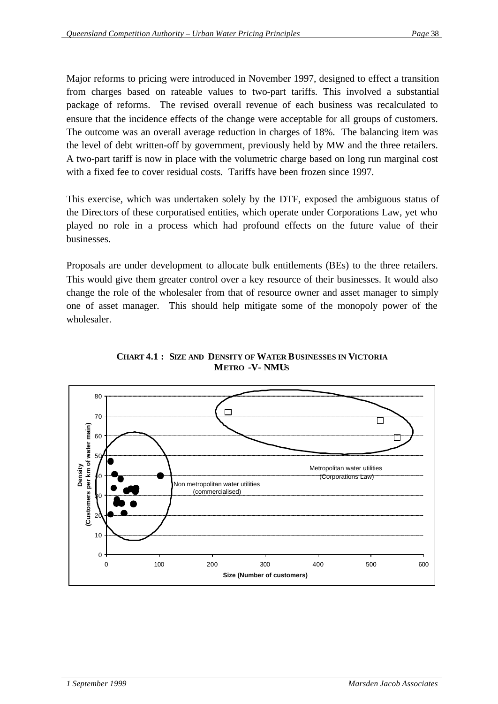Major reforms to pricing were introduced in November 1997, designed to effect a transition from charges based on rateable values to two-part tariffs. This involved a substantial package of reforms. The revised overall revenue of each business was recalculated to ensure that the incidence effects of the change were acceptable for all groups of customers. The outcome was an overall average reduction in charges of 18%. The balancing item was the level of debt written-off by government, previously held by MW and the three retailers. A two-part tariff is now in place with the volumetric charge based on long run marginal cost with a fixed fee to cover residual costs. Tariffs have been frozen since 1997.

This exercise, which was undertaken solely by the DTF, exposed the ambiguous status of the Directors of these corporatised entities, which operate under Corporations Law, yet who played no role in a process which had profound effects on the future value of their businesses.

Proposals are under development to allocate bulk entitlements (BEs) to the three retailers. This would give them greater control over a key resource of their businesses. It would also change the role of the wholesaler from that of resource owner and asset manager to simply one of asset manager. This should help mitigate some of the monopoly power of the wholesaler.



#### **CHART 4.1 : SIZE AND DENSITY OF WATER BUSINESSES IN VICTORIA METRO -V- NMUS**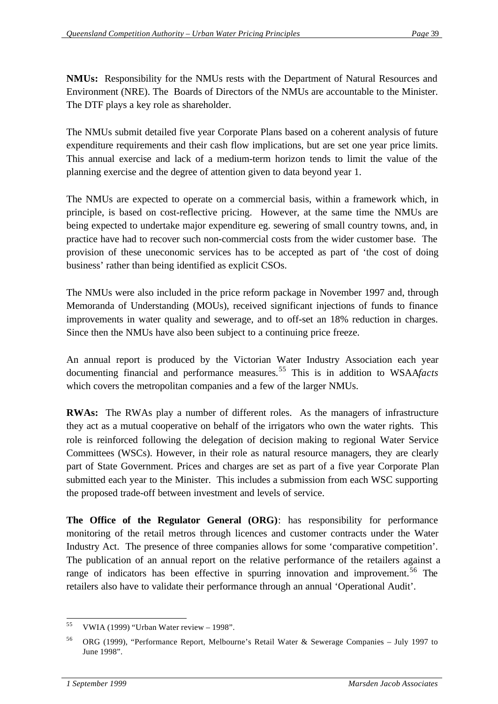**NMUs:** Responsibility for the NMUs rests with the Department of Natural Resources and Environment (NRE). The Boards of Directors of the NMUs are accountable to the Minister. The DTF plays a key role as shareholder.

The NMUs submit detailed five year Corporate Plans based on a coherent analysis of future expenditure requirements and their cash flow implications, but are set one year price limits. This annual exercise and lack of a medium-term horizon tends to limit the value of the planning exercise and the degree of attention given to data beyond year 1.

The NMUs are expected to operate on a commercial basis, within a framework which, in principle, is based on cost-reflective pricing. However, at the same time the NMUs are being expected to undertake major expenditure eg. sewering of small country towns, and, in practice have had to recover such non-commercial costs from the wider customer base. The provision of these uneconomic services has to be accepted as part of 'the cost of doing business' rather than being identified as explicit CSOs.

The NMUs were also included in the price reform package in November 1997 and, through Memoranda of Understanding (MOUs), received significant injections of funds to finance improvements in water quality and sewerage, and to off-set an 18% reduction in charges. Since then the NMUs have also been subject to a continuing price freeze.

An annual report is produced by the Victorian Water Industry Association each year documenting financial and performance measures.<sup>55</sup> This is in addition to WSAA*facts* which covers the metropolitan companies and a few of the larger NMUs.

**RWAs:** The RWAs play a number of different roles. As the managers of infrastructure they act as a mutual cooperative on behalf of the irrigators who own the water rights. This role is reinforced following the delegation of decision making to regional Water Service Committees (WSCs). However, in their role as natural resource managers, they are clearly part of State Government. Prices and charges are set as part of a five year Corporate Plan submitted each year to the Minister. This includes a submission from each WSC supporting the proposed trade-off between investment and levels of service.

**The Office of the Regulator General (ORG)**: has responsibility for performance monitoring of the retail metros through licences and customer contracts under the Water Industry Act. The presence of three companies allows for some 'comparative competition'. The publication of an annual report on the relative performance of the retailers against a range of indicators has been effective in spurring innovation and improvement.<sup>56</sup> The retailers also have to validate their performance through an annual 'Operational Audit'.

 <sup>55</sup> VWIA (1999) "Urban Water review – 1998".

<sup>56</sup> ORG (1999), "Performance Report, Melbourne's Retail Water & Sewerage Companies – July 1997 to June 1998".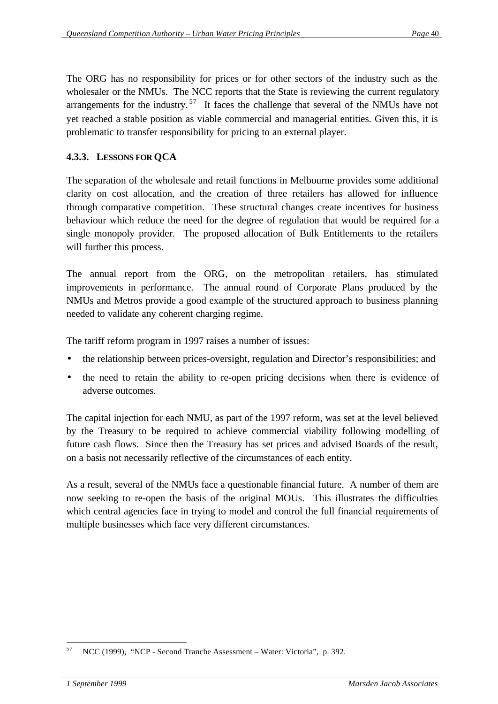The ORG has no responsibility for prices or for other sectors of the industry such as the wholesaler or the NMUs. The NCC reports that the State is reviewing the current regulatory arrangements for the industry.<sup>57</sup> It faces the challenge that several of the NMUs have not yet reached a stable position as viable commercial and managerial entities. Given this, it is problematic to transfer responsibility for pricing to an external player.

## **4.3.3. LESSONS FOR QCA**

The separation of the wholesale and retail functions in Melbourne provides some additional clarity on cost allocation, and the creation of three retailers has allowed for influence through comparative competition. These structural changes create incentives for business behaviour which reduce the need for the degree of regulation that would be required for a single monopoly provider. The proposed allocation of Bulk Entitlements to the retailers will further this process.

The annual report from the ORG, on the metropolitan retailers, has stimulated improvements in performance. The annual round of Corporate Plans produced by the NMUs and Metros provide a good example of the structured approach to business planning needed to validate any coherent charging regime.

The tariff reform program in 1997 raises a number of issues:

- the relationship between prices-oversight, regulation and Director's responsibilities; and
- the need to retain the ability to re-open pricing decisions when there is evidence of adverse outcomes.

The capital injection for each NMU, as part of the 1997 reform, was set at the level believed by the Treasury to be required to achieve commercial viability following modelling of future cash flows. Since then the Treasury has set prices and advised Boards of the result, on a basis not necessarily reflective of the circumstances of each entity.

As a result, several of the NMUs face a questionable financial future. A number of them are now seeking to re-open the basis of the original MOUs. This illustrates the difficulties which central agencies face in trying to model and control the full financial requirements of multiple businesses which face very different circumstances.

 <sup>57</sup> NCC (1999), "NCP - Second Tranche Assessment – Water: Victoria", p. 392.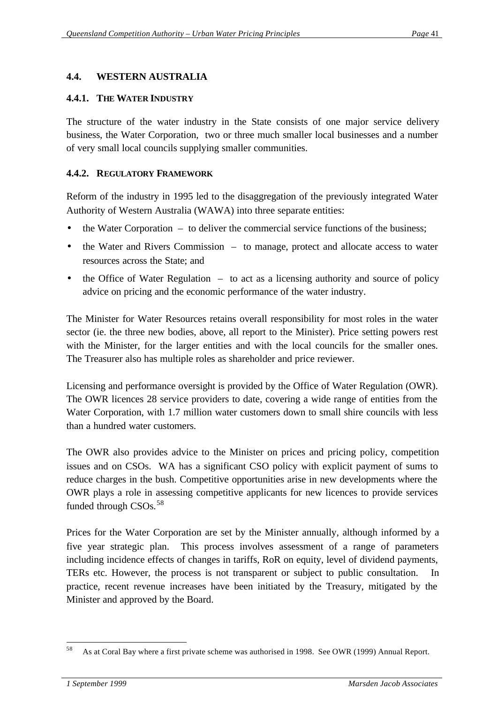#### **4.4. WESTERN AUSTRALIA**

#### **4.4.1. THE WATER INDUSTRY**

The structure of the water industry in the State consists of one major service delivery business, the Water Corporation, two or three much smaller local businesses and a number of very small local councils supplying smaller communities.

#### **4.4.2. REGULATORY FRAMEWORK**

Reform of the industry in 1995 led to the disaggregation of the previously integrated Water Authority of Western Australia (WAWA) into three separate entities:

- the Water Corporation to deliver the commercial service functions of the business;
- the Water and Rivers Commission to manage, protect and allocate access to water resources across the State; and
- the Office of Water Regulation  $-$  to act as a licensing authority and source of policy advice on pricing and the economic performance of the water industry.

The Minister for Water Resources retains overall responsibility for most roles in the water sector (ie. the three new bodies, above, all report to the Minister). Price setting powers rest with the Minister, for the larger entities and with the local councils for the smaller ones. The Treasurer also has multiple roles as shareholder and price reviewer.

Licensing and performance oversight is provided by the Office of Water Regulation (OWR). The OWR licences 28 service providers to date, covering a wide range of entities from the Water Corporation, with 1.7 million water customers down to small shire councils with less than a hundred water customers.

The OWR also provides advice to the Minister on prices and pricing policy, competition issues and on CSOs. WA has a significant CSO policy with explicit payment of sums to reduce charges in the bush. Competitive opportunities arise in new developments where the OWR plays a role in assessing competitive applicants for new licences to provide services funded through CSOs.<sup>58</sup>

Prices for the Water Corporation are set by the Minister annually, although informed by a five year strategic plan. This process involves assessment of a range of parameters including incidence effects of changes in tariffs, RoR on equity, level of dividend payments, TERs etc. However, the process is not transparent or subject to public consultation. In practice, recent revenue increases have been initiated by the Treasury, mitigated by the Minister and approved by the Board.

 <sup>58</sup> As at Coral Bay where a first private scheme was authorised in 1998. See OWR (1999) Annual Report.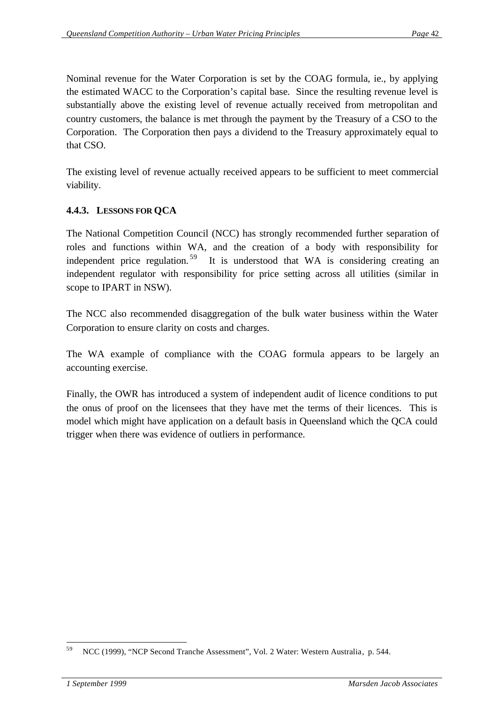Nominal revenue for the Water Corporation is set by the COAG formula, ie., by applying the estimated WACC to the Corporation's capital base. Since the resulting revenue level is substantially above the existing level of revenue actually received from metropolitan and country customers, the balance is met through the payment by the Treasury of a CSO to the Corporation. The Corporation then pays a dividend to the Treasury approximately equal to that CSO.

The existing level of revenue actually received appears to be sufficient to meet commercial viability.

## **4.4.3. LESSONS FOR QCA**

The National Competition Council (NCC) has strongly recommended further separation of roles and functions within WA, and the creation of a body with responsibility for independent price regulation. <sup>59</sup> It is understood that WA is considering creating an independent regulator with responsibility for price setting across all utilities (similar in scope to IPART in NSW).

The NCC also recommended disaggregation of the bulk water business within the Water Corporation to ensure clarity on costs and charges.

The WA example of compliance with the COAG formula appears to be largely an accounting exercise.

Finally, the OWR has introduced a system of independent audit of licence conditions to put the onus of proof on the licensees that they have met the terms of their licences. This is model which might have application on a default basis in Queensland which the QCA could trigger when there was evidence of outliers in performance.

 <sup>59</sup> NCC (1999), "NCP Second Tranche Assessment", Vol. 2 Water: Western Australia, p. 544.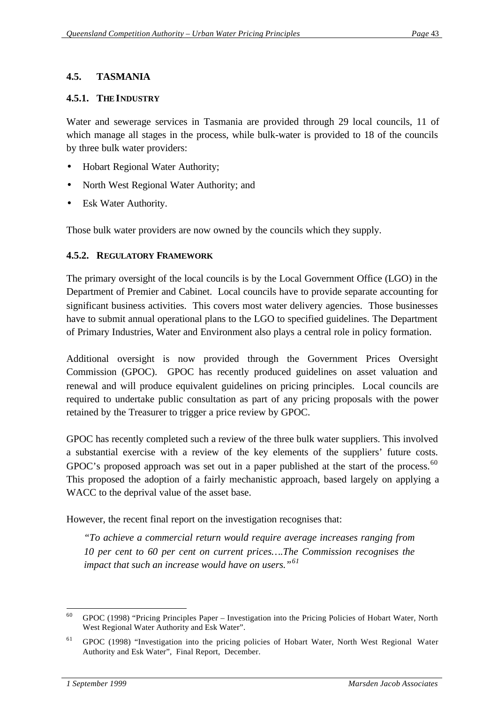## **4.5. TASMANIA**

#### **4.5.1. THE INDUSTRY**

Water and sewerage services in Tasmania are provided through 29 local councils, 11 of which manage all stages in the process, while bulk-water is provided to 18 of the councils by three bulk water providers:

- Hobart Regional Water Authority;
- North West Regional Water Authority; and
- Esk Water Authority.

Those bulk water providers are now owned by the councils which they supply.

#### **4.5.2. REGULATORY FRAMEWORK**

The primary oversight of the local councils is by the Local Government Office (LGO) in the Department of Premier and Cabinet. Local councils have to provide separate accounting for significant business activities. This covers most water delivery agencies. Those businesses have to submit annual operational plans to the LGO to specified guidelines. The Department of Primary Industries, Water and Environment also plays a central role in policy formation.

Additional oversight is now provided through the Government Prices Oversight Commission (GPOC). GPOC has recently produced guidelines on asset valuation and renewal and will produce equivalent guidelines on pricing principles. Local councils are required to undertake public consultation as part of any pricing proposals with the power retained by the Treasurer to trigger a price review by GPOC.

GPOC has recently completed such a review of the three bulk water suppliers. This involved a substantial exercise with a review of the key elements of the suppliers' future costs. GPOC's proposed approach was set out in a paper published at the start of the process.<sup>60</sup> This proposed the adoption of a fairly mechanistic approach, based largely on applying a WACC to the deprival value of the asset base.

However, the recent final report on the investigation recognises that:

*"To achieve a commercial return would require average increases ranging from 10 per cent to 60 per cent on current prices….The Commission recognises the impact that such an increase would have on users."<sup>61</sup>*

 $60$  GPOC (1998) "Pricing Principles Paper – Investigation into the Pricing Policies of Hobart Water, North West Regional Water Authority and Esk Water".

<sup>&</sup>lt;sup>61</sup> GPOC (1998) "Investigation into the pricing policies of Hobart Water, North West Regional Water Authority and Esk Water", Final Report, December.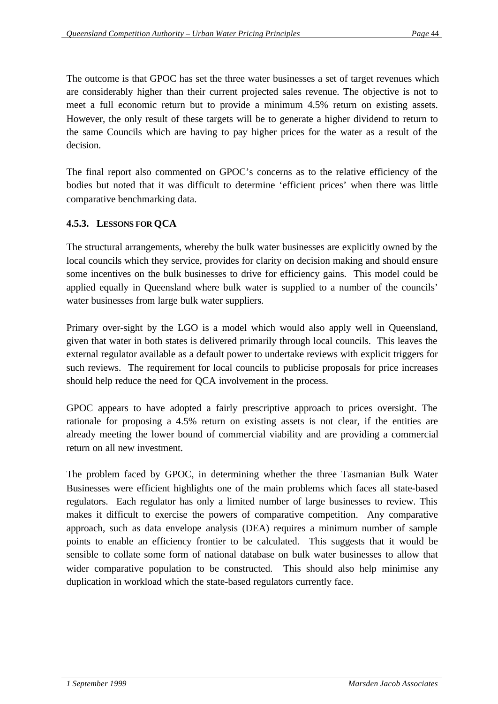The outcome is that GPOC has set the three water businesses a set of target revenues which are considerably higher than their current projected sales revenue. The objective is not to meet a full economic return but to provide a minimum 4.5% return on existing assets. However, the only result of these targets will be to generate a higher dividend to return to the same Councils which are having to pay higher prices for the water as a result of the decision.

The final report also commented on GPOC's concerns as to the relative efficiency of the bodies but noted that it was difficult to determine 'efficient prices' when there was little comparative benchmarking data.

## **4.5.3. LESSONS FOR QCA**

The structural arrangements, whereby the bulk water businesses are explicitly owned by the local councils which they service, provides for clarity on decision making and should ensure some incentives on the bulk businesses to drive for efficiency gains. This model could be applied equally in Queensland where bulk water is supplied to a number of the councils' water businesses from large bulk water suppliers.

Primary over-sight by the LGO is a model which would also apply well in Queensland, given that water in both states is delivered primarily through local councils. This leaves the external regulator available as a default power to undertake reviews with explicit triggers for such reviews. The requirement for local councils to publicise proposals for price increases should help reduce the need for QCA involvement in the process.

GPOC appears to have adopted a fairly prescriptive approach to prices oversight. The rationale for proposing a 4.5% return on existing assets is not clear, if the entities are already meeting the lower bound of commercial viability and are providing a commercial return on all new investment.

The problem faced by GPOC, in determining whether the three Tasmanian Bulk Water Businesses were efficient highlights one of the main problems which faces all state-based regulators. Each regulator has only a limited number of large businesses to review. This makes it difficult to exercise the powers of comparative competition. Any comparative approach, such as data envelope analysis (DEA) requires a minimum number of sample points to enable an efficiency frontier to be calculated. This suggests that it would be sensible to collate some form of national database on bulk water businesses to allow that wider comparative population to be constructed. This should also help minimise any duplication in workload which the state-based regulators currently face.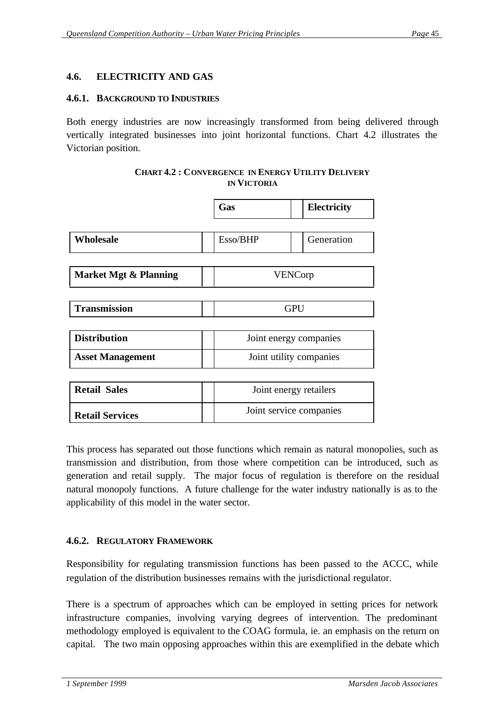## **4.6. ELECTRICITY AND GAS**

#### **4.6.1. BACKGROUND TO INDUSTRIES**

Both energy industries are now increasingly transformed from being delivered through vertically integrated businesses into joint horizontal functions. Chart 4.2 illustrates the Victorian position.

| <b>CHART 4.2: CONVERGENCE IN ENERGY UTILITY DELIVERY</b> |
|----------------------------------------------------------|
| <b>IN VICTORIA</b>                                       |

|                                  | Gas            | <b>Electricity</b>      |  |  |
|----------------------------------|----------------|-------------------------|--|--|
|                                  |                |                         |  |  |
| Wholesale                        | Esso/BHP       | Generation              |  |  |
|                                  |                |                         |  |  |
| <b>Market Mgt &amp; Planning</b> | <b>VENCorp</b> |                         |  |  |
|                                  |                |                         |  |  |
| <b>Transmission</b>              |                | <b>GPU</b>              |  |  |
|                                  |                |                         |  |  |
| <b>Distribution</b>              |                | Joint energy companies  |  |  |
| <b>Asset Management</b>          |                | Joint utility companies |  |  |
|                                  |                |                         |  |  |
| <b>Retail Sales</b>              |                | Joint energy retailers  |  |  |
| <b>Retail Services</b>           |                | Joint service companies |  |  |

This process has separated out those functions which remain as natural monopolies, such as transmission and distribution, from those where competition can be introduced, such as generation and retail supply. The major focus of regulation is therefore on the residual natural monopoly functions. A future challenge for the water industry nationally is as to the applicability of this model in the water sector.

#### **4.6.2. REGULATORY FRAMEWORK**

Responsibility for regulating transmission functions has been passed to the ACCC, while regulation of the distribution businesses remains with the jurisdictional regulator.

There is a spectrum of approaches which can be employed in setting prices for network infrastructure companies, involving varying degrees of intervention. The predominant methodology employed is equivalent to the COAG formula, ie. an emphasis on the return on capital. The two main opposing approaches within this are exemplified in the debate which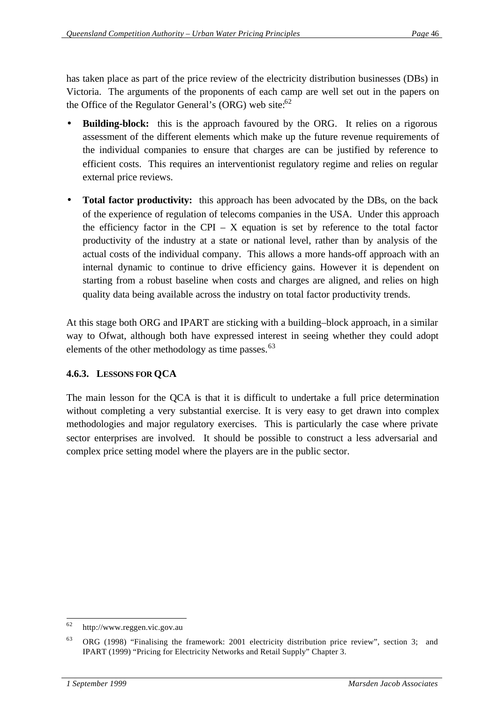has taken place as part of the price review of the electricity distribution businesses (DBs) in Victoria. The arguments of the proponents of each camp are well set out in the papers on the Office of the Regulator General's  $(ORG)$  web site:<sup>62</sup>

- **Building-block:** this is the approach favoured by the ORG. It relies on a rigorous assessment of the different elements which make up the future revenue requirements of the individual companies to ensure that charges are can be justified by reference to efficient costs. This requires an interventionist regulatory regime and relies on regular external price reviews.
- **Total factor productivity:** this approach has been advocated by the DBs, on the back of the experience of regulation of telecoms companies in the USA. Under this approach the efficiency factor in the CPI – X equation is set by reference to the total factor productivity of the industry at a state or national level, rather than by analysis of the actual costs of the individual company. This allows a more hands-off approach with an internal dynamic to continue to drive efficiency gains. However it is dependent on starting from a robust baseline when costs and charges are aligned, and relies on high quality data being available across the industry on total factor productivity trends.

At this stage both ORG and IPART are sticking with a building–block approach, in a similar way to Ofwat, although both have expressed interest in seeing whether they could adopt elements of the other methodology as time passes.<sup>63</sup>

## **4.6.3. LESSONS FOR QCA**

The main lesson for the QCA is that it is difficult to undertake a full price determination without completing a very substantial exercise. It is very easy to get drawn into complex methodologies and major regulatory exercises. This is particularly the case where private sector enterprises are involved. It should be possible to construct a less adversarial and complex price setting model where the players are in the public sector.

 http://www.reggen.vic.gov.au

<sup>63</sup> ORG (1998) "Finalising the framework: 2001 electricity distribution price review", section 3; and IPART (1999) "Pricing for Electricity Networks and Retail Supply" Chapter 3.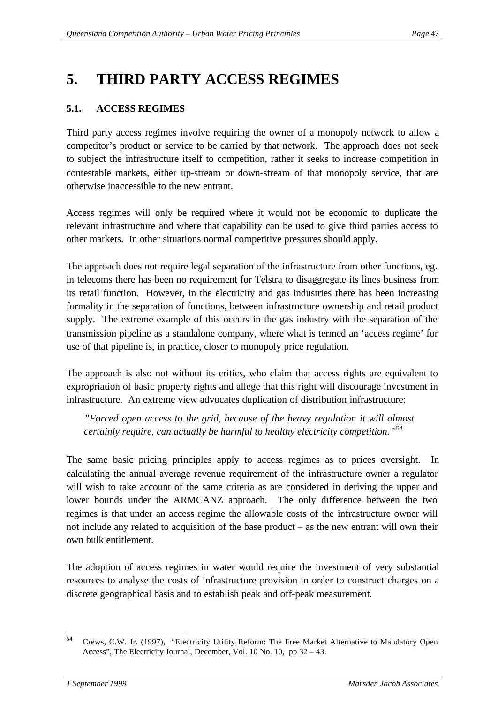## **5. THIRD PARTY ACCESS REGIMES**

## **5.1. ACCESS REGIMES**

Third party access regimes involve requiring the owner of a monopoly network to allow a competitor's product or service to be carried by that network. The approach does not seek to subject the infrastructure itself to competition, rather it seeks to increase competition in contestable markets, either up-stream or down-stream of that monopoly service, that are otherwise inaccessible to the new entrant.

Access regimes will only be required where it would not be economic to duplicate the relevant infrastructure and where that capability can be used to give third parties access to other markets. In other situations normal competitive pressures should apply.

The approach does not require legal separation of the infrastructure from other functions, eg. in telecoms there has been no requirement for Telstra to disaggregate its lines business from its retail function. However, in the electricity and gas industries there has been increasing formality in the separation of functions, between infrastructure ownership and retail product supply. The extreme example of this occurs in the gas industry with the separation of the transmission pipeline as a standalone company, where what is termed an 'access regime' for use of that pipeline is, in practice, closer to monopoly price regulation.

The approach is also not without its critics, who claim that access rights are equivalent to expropriation of basic property rights and allege that this right will discourage investment in infrastructure. An extreme view advocates duplication of distribution infrastructure:

*"Forced open access to the grid, because of the heavy regulation it will almost certainly require, can actually be harmful to healthy electricity competition."<sup>64</sup>*

The same basic pricing principles apply to access regimes as to prices oversight. In calculating the annual average revenue requirement of the infrastructure owner a regulator will wish to take account of the same criteria as are considered in deriving the upper and lower bounds under the ARMCANZ approach. The only difference between the two regimes is that under an access regime the allowable costs of the infrastructure owner will not include any related to acquisition of the base product – as the new entrant will own their own bulk entitlement.

The adoption of access regimes in water would require the investment of very substantial resources to analyse the costs of infrastructure provision in order to construct charges on a discrete geographical basis and to establish peak and off-peak measurement.

 <sup>64</sup> Crews, C.W. Jr. (1997), "Electricity Utility Reform: The Free Market Alternative to Mandatory Open Access", The Electricity Journal, December, Vol. 10 No. 10, pp 32 – 43.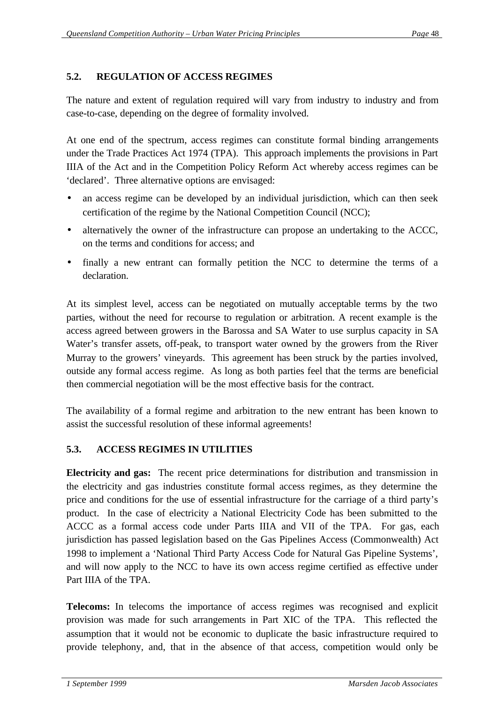## **5.2. REGULATION OF ACCESS REGIMES**

The nature and extent of regulation required will vary from industry to industry and from case-to-case, depending on the degree of formality involved.

At one end of the spectrum, access regimes can constitute formal binding arrangements under the Trade Practices Act 1974 (TPA). This approach implements the provisions in Part IIIA of the Act and in the Competition Policy Reform Act whereby access regimes can be 'declared'. Three alternative options are envisaged:

- an access regime can be developed by an individual jurisdiction, which can then seek certification of the regime by the National Competition Council (NCC);
- alternatively the owner of the infrastructure can propose an undertaking to the ACCC, on the terms and conditions for access; and
- finally a new entrant can formally petition the NCC to determine the terms of a declaration.

At its simplest level, access can be negotiated on mutually acceptable terms by the two parties, without the need for recourse to regulation or arbitration. A recent example is the access agreed between growers in the Barossa and SA Water to use surplus capacity in SA Water's transfer assets, off-peak, to transport water owned by the growers from the River Murray to the growers' vineyards. This agreement has been struck by the parties involved, outside any formal access regime. As long as both parties feel that the terms are beneficial then commercial negotiation will be the most effective basis for the contract.

The availability of a formal regime and arbitration to the new entrant has been known to assist the successful resolution of these informal agreements!

## **5.3. ACCESS REGIMES IN UTILITIES**

**Electricity and gas:** The recent price determinations for distribution and transmission in the electricity and gas industries constitute formal access regimes, as they determine the price and conditions for the use of essential infrastructure for the carriage of a third party's product. In the case of electricity a National Electricity Code has been submitted to the ACCC as a formal access code under Parts IIIA and VII of the TPA. For gas, each jurisdiction has passed legislation based on the Gas Pipelines Access (Commonwealth) Act 1998 to implement a 'National Third Party Access Code for Natural Gas Pipeline Systems', and will now apply to the NCC to have its own access regime certified as effective under Part IIIA of the TPA.

**Telecoms:** In telecoms the importance of access regimes was recognised and explicit provision was made for such arrangements in Part XIC of the TPA. This reflected the assumption that it would not be economic to duplicate the basic infrastructure required to provide telephony, and, that in the absence of that access, competition would only be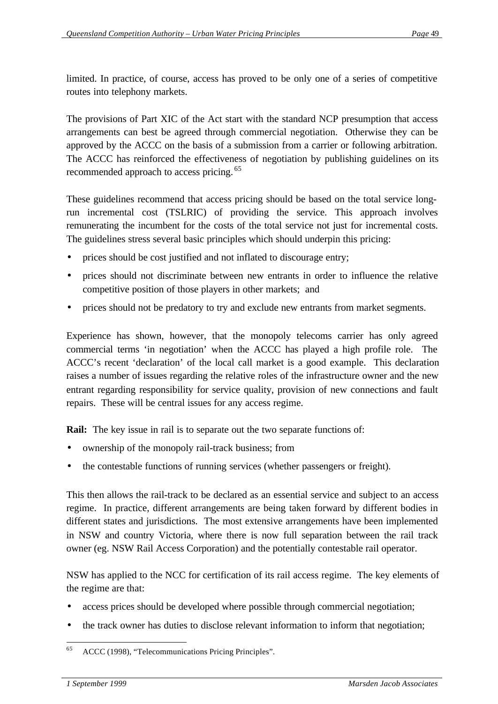limited. In practice, of course, access has proved to be only one of a series of competitive routes into telephony markets.

The provisions of Part XIC of the Act start with the standard NCP presumption that access arrangements can best be agreed through commercial negotiation. Otherwise they can be approved by the ACCC on the basis of a submission from a carrier or following arbitration. The ACCC has reinforced the effectiveness of negotiation by publishing guidelines on its recommended approach to access pricing.<sup>65</sup>

These guidelines recommend that access pricing should be based on the total service longrun incremental cost (TSLRIC) of providing the service. This approach involves remunerating the incumbent for the costs of the total service not just for incremental costs. The guidelines stress several basic principles which should underpin this pricing:

- prices should be cost justified and not inflated to discourage entry;
- prices should not discriminate between new entrants in order to influence the relative competitive position of those players in other markets; and
- prices should not be predatory to try and exclude new entrants from market segments.

Experience has shown, however, that the monopoly telecoms carrier has only agreed commercial terms 'in negotiation' when the ACCC has played a high profile role. The ACCC's recent 'declaration' of the local call market is a good example. This declaration raises a number of issues regarding the relative roles of the infrastructure owner and the new entrant regarding responsibility for service quality, provision of new connections and fault repairs. These will be central issues for any access regime.

**Rail:** The key issue in rail is to separate out the two separate functions of:

- ownership of the monopoly rail-track business; from
- the contestable functions of running services (whether passengers or freight).

This then allows the rail-track to be declared as an essential service and subject to an access regime. In practice, different arrangements are being taken forward by different bodies in different states and jurisdictions. The most extensive arrangements have been implemented in NSW and country Victoria, where there is now full separation between the rail track owner (eg. NSW Rail Access Corporation) and the potentially contestable rail operator.

NSW has applied to the NCC for certification of its rail access regime. The key elements of the regime are that:

- access prices should be developed where possible through commercial negotiation;
- the track owner has duties to disclose relevant information to inform that negotiation;

 ACCC (1998), "Telecommunications Pricing Principles".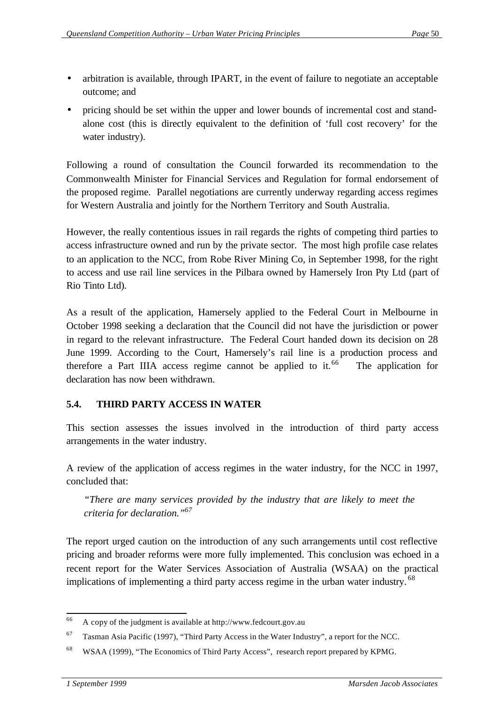- arbitration is available, through IPART, in the event of failure to negotiate an acceptable outcome; and
- pricing should be set within the upper and lower bounds of incremental cost and standalone cost (this is directly equivalent to the definition of 'full cost recovery' for the water industry).

Following a round of consultation the Council forwarded its recommendation to the Commonwealth Minister for Financial Services and Regulation for formal endorsement of the proposed regime. Parallel negotiations are currently underway regarding access regimes for Western Australia and jointly for the Northern Territory and South Australia.

However, the really contentious issues in rail regards the rights of competing third parties to access infrastructure owned and run by the private sector. The most high profile case relates to an application to the NCC, from Robe River Mining Co, in September 1998, for the right to access and use rail line services in the Pilbara owned by Hamersely Iron Pty Ltd (part of Rio Tinto Ltd).

As a result of the application, Hamersely applied to the Federal Court in Melbourne in October 1998 seeking a declaration that the Council did not have the jurisdiction or power in regard to the relevant infrastructure. The Federal Court handed down its decision on 28 June 1999. According to the Court, Hamersely's rail line is a production process and therefore a Part IIIA access regime cannot be applied to it.<sup>66</sup> The application for declaration has now been withdrawn.

## **5.4. THIRD PARTY ACCESS IN WATER**

This section assesses the issues involved in the introduction of third party access arrangements in the water industry.

A review of the application of access regimes in the water industry, for the NCC in 1997, concluded that:

*"There are many services provided by the industry that are likely to meet the criteria for declaration."<sup>67</sup>*

The report urged caution on the introduction of any such arrangements until cost reflective pricing and broader reforms were more fully implemented. This conclusion was echoed in a recent report for the Water Services Association of Australia (WSAA) on the practical implications of implementing a third party access regime in the urban water industry.<sup>68</sup>

 <sup>66</sup> A copy of the judgment is available at http://www.fedcourt.gov.au

 $67$  Tasman Asia Pacific (1997), "Third Party Access in the Water Industry", a report for the NCC.

<sup>68</sup> WSAA (1999), "The Economics of Third Party Access", research report prepared by KPMG.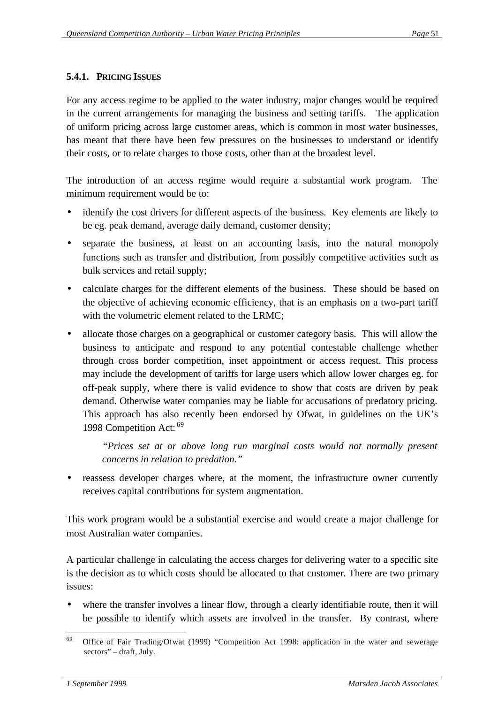## **5.4.1. PRICING ISSUES**

For any access regime to be applied to the water industry, major changes would be required in the current arrangements for managing the business and setting tariffs. The application of uniform pricing across large customer areas, which is common in most water businesses, has meant that there have been few pressures on the businesses to understand or identify their costs, or to relate charges to those costs, other than at the broadest level.

The introduction of an access regime would require a substantial work program. The minimum requirement would be to:

- identify the cost drivers for different aspects of the business. Key elements are likely to be eg. peak demand, average daily demand, customer density;
- separate the business, at least on an accounting basis, into the natural monopoly functions such as transfer and distribution, from possibly competitive activities such as bulk services and retail supply;
- calculate charges for the different elements of the business. These should be based on the objective of achieving economic efficiency, that is an emphasis on a two-part tariff with the volumetric element related to the LRMC;
- allocate those charges on a geographical or customer category basis. This will allow the business to anticipate and respond to any potential contestable challenge whether through cross border competition, inset appointment or access request. This process may include the development of tariffs for large users which allow lower charges eg. for off-peak supply, where there is valid evidence to show that costs are driven by peak demand. Otherwise water companies may be liable for accusations of predatory pricing. This approach has also recently been endorsed by Ofwat, in guidelines on the UK's 1998 Competition Act: <sup>69</sup>

*"Prices set at or above long run marginal costs would not normally present concerns in relation to predation."*

reassess developer charges where, at the moment, the infrastructure owner currently receives capital contributions for system augmentation.

This work program would be a substantial exercise and would create a major challenge for most Australian water companies.

A particular challenge in calculating the access charges for delivering water to a specific site is the decision as to which costs should be allocated to that customer. There are two primary issues:

where the transfer involves a linear flow, through a clearly identifiable route, then it will be possible to identify which assets are involved in the transfer. By contrast, where

 Office of Fair Trading/Ofwat (1999) "Competition Act 1998: application in the water and sewerage sectors" – draft, July.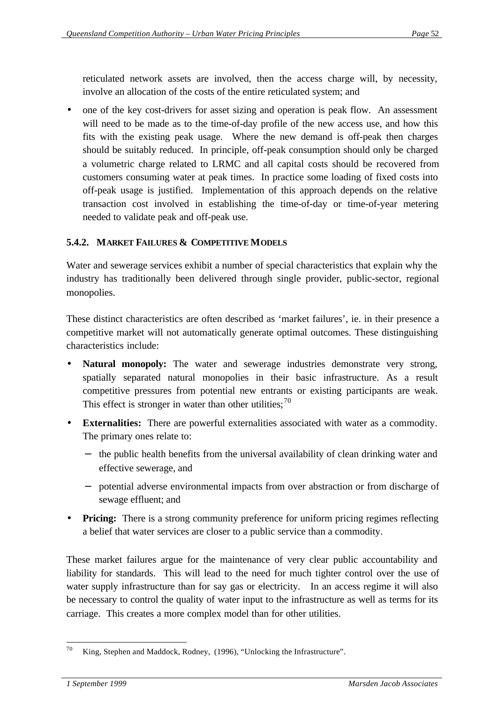reticulated network assets are involved, then the access charge will, by necessity, involve an allocation of the costs of the entire reticulated system; and

• one of the key cost-drivers for asset sizing and operation is peak flow. An assessment will need to be made as to the time-of-day profile of the new access use, and how this fits with the existing peak usage. Where the new demand is off-peak then charges should be suitably reduced. In principle, off-peak consumption should only be charged a volumetric charge related to LRMC and all capital costs should be recovered from customers consuming water at peak times. In practice some loading of fixed costs into off-peak usage is justified. Implementation of this approach depends on the relative transaction cost involved in establishing the time-of-day or time-of-year metering needed to validate peak and off-peak use.

## **5.4.2. MARKET FAILURES & COMPETITIVE MODELS**

Water and sewerage services exhibit a number of special characteristics that explain why the industry has traditionally been delivered through single provider, public-sector, regional monopolies.

These distinct characteristics are often described as 'market failures', ie. in their presence a competitive market will not automatically generate optimal outcomes. These distinguishing characteristics include:

- **Natural monopoly:** The water and sewerage industries demonstrate very strong, spatially separated natural monopolies in their basic infrastructure. As a result competitive pressures from potential new entrants or existing participants are weak. This effect is stronger in water than other utilities; $^{70}$
- **Externalities:** There are powerful externalities associated with water as a commodity. The primary ones relate to:
	- the public health benefits from the universal availability of clean drinking water and effective sewerage, and
	- − potential adverse environmental impacts from over abstraction or from discharge of sewage effluent; and
- **Pricing:** There is a strong community preference for uniform pricing regimes reflecting a belief that water services are closer to a public service than a commodity.

These market failures argue for the maintenance of very clear public accountability and liability for standards. This will lead to the need for much tighter control over the use of water supply infrastructure than for say gas or electricity. In an access regime it will also be necessary to control the quality of water input to the infrastructure as well as terms for its carriage. This creates a more complex model than for other utilities.

 King, Stephen and Maddock, Rodney, (1996), "Unlocking the Infrastructure".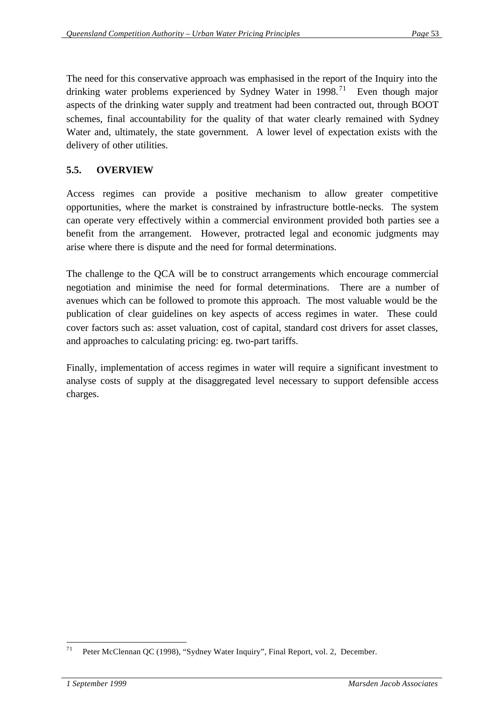The need for this conservative approach was emphasised in the report of the Inquiry into the drinking water problems experienced by Sydney Water in  $1998$ <sup>71</sup> Even though major aspects of the drinking water supply and treatment had been contracted out, through BOOT schemes, final accountability for the quality of that water clearly remained with Sydney Water and, ultimately, the state government. A lower level of expectation exists with the delivery of other utilities.

## **5.5. OVERVIEW**

Access regimes can provide a positive mechanism to allow greater competitive opportunities, where the market is constrained by infrastructure bottle-necks. The system can operate very effectively within a commercial environment provided both parties see a benefit from the arrangement. However, protracted legal and economic judgments may arise where there is dispute and the need for formal determinations.

The challenge to the QCA will be to construct arrangements which encourage commercial negotiation and minimise the need for formal determinations. There are a number of avenues which can be followed to promote this approach. The most valuable would be the publication of clear guidelines on key aspects of access regimes in water. These could cover factors such as: asset valuation, cost of capital, standard cost drivers for asset classes, and approaches to calculating pricing: eg. two-part tariffs.

Finally, implementation of access regimes in water will require a significant investment to analyse costs of supply at the disaggregated level necessary to support defensible access charges.

 Peter McClennan QC (1998), "Sydney Water Inquiry", Final Report, vol. 2, December.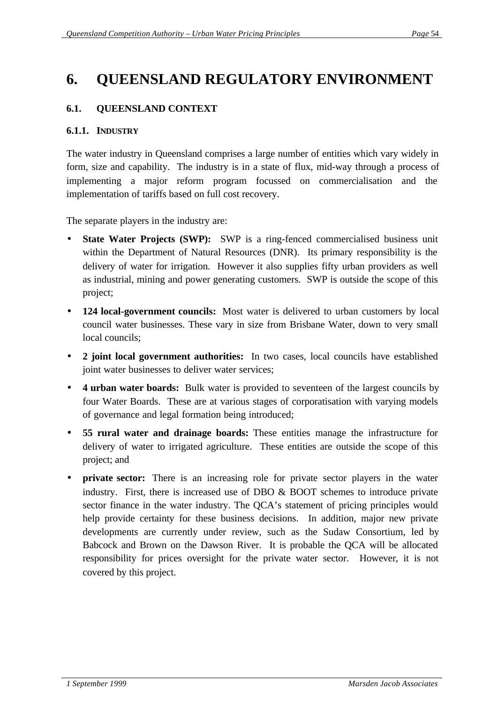## **6. QUEENSLAND REGULATORY ENVIRONMENT**

## **6.1. QUEENSLAND CONTEXT**

#### **6.1.1. INDUSTRY**

The water industry in Queensland comprises a large number of entities which vary widely in form, size and capability. The industry is in a state of flux, mid-way through a process of implementing a major reform program focussed on commercialisation and the implementation of tariffs based on full cost recovery.

The separate players in the industry are:

- **State Water Projects (SWP):** SWP is a ring-fenced commercialised business unit within the Department of Natural Resources (DNR). Its primary responsibility is the delivery of water for irrigation. However it also supplies fifty urban providers as well as industrial, mining and power generating customers. SWP is outside the scope of this project;
- **124 local-government councils:** Most water is delivered to urban customers by local council water businesses. These vary in size from Brisbane Water, down to very small local councils;
- **2 joint local government authorities:** In two cases, local councils have established joint water businesses to deliver water services;
- **4 urban water boards:** Bulk water is provided to seventeen of the largest councils by four Water Boards. These are at various stages of corporatisation with varying models of governance and legal formation being introduced;
- **55 rural water and drainage boards:** These entities manage the infrastructure for delivery of water to irrigated agriculture. These entities are outside the scope of this project; and
- **private sector:** There is an increasing role for private sector players in the water industry. First, there is increased use of DBO & BOOT schemes to introduce private sector finance in the water industry. The QCA's statement of pricing principles would help provide certainty for these business decisions. In addition, major new private developments are currently under review, such as the Sudaw Consortium, led by Babcock and Brown on the Dawson River. It is probable the QCA will be allocated responsibility for prices oversight for the private water sector. However, it is not covered by this project.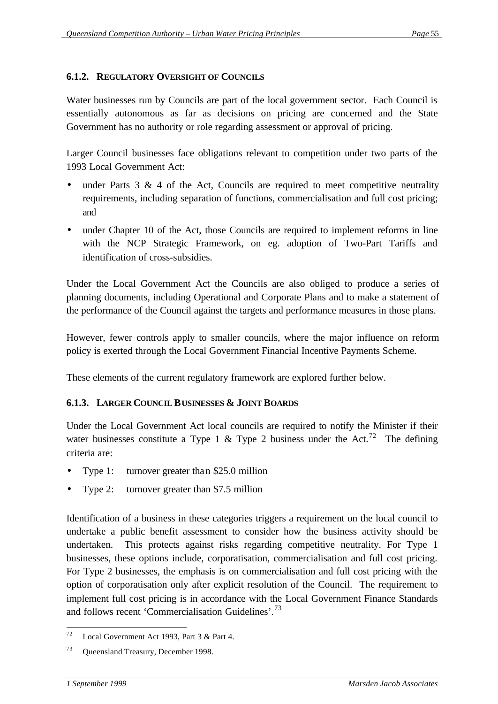## **6.1.2. REGULATORY OVERSIGHT OF COUNCILS**

Water businesses run by Councils are part of the local government sector. Each Council is essentially autonomous as far as decisions on pricing are concerned and the State Government has no authority or role regarding assessment or approval of pricing.

Larger Council businesses face obligations relevant to competition under two parts of the 1993 Local Government Act:

- under Parts  $3 \& 4$  of the Act, Councils are required to meet competitive neutrality requirements, including separation of functions, commercialisation and full cost pricing; and
- under Chapter 10 of the Act, those Councils are required to implement reforms in line with the NCP Strategic Framework, on eg. adoption of Two-Part Tariffs and identification of cross-subsidies.

Under the Local Government Act the Councils are also obliged to produce a series of planning documents, including Operational and Corporate Plans and to make a statement of the performance of the Council against the targets and performance measures in those plans.

However, fewer controls apply to smaller councils, where the major influence on reform policy is exerted through the Local Government Financial Incentive Payments Scheme.

These elements of the current regulatory framework are explored further below.

#### **6.1.3. LARGER COUNCIL BUSINESSES & JOINT BOARDS**

Under the Local Government Act local councils are required to notify the Minister if their water businesses constitute a Type 1 & Type 2 business under the Act.<sup>72</sup> The defining criteria are:

- Type 1: turnover greater than \$25.0 million
- Type 2: turnover greater than \$7.5 million

Identification of a business in these categories triggers a requirement on the local council to undertake a public benefit assessment to consider how the business activity should be undertaken. This protects against risks regarding competitive neutrality. For Type 1 businesses, these options include, corporatisation, commercialisation and full cost pricing. For Type 2 businesses, the emphasis is on commercialisation and full cost pricing with the option of corporatisation only after explicit resolution of the Council. The requirement to implement full cost pricing is in accordance with the Local Government Finance Standards and follows recent 'Commercialisation Guidelines'.<sup>73</sup>

 Local Government Act 1993, Part 3 & Part 4.

<sup>73</sup> Queensland Treasury, December 1998.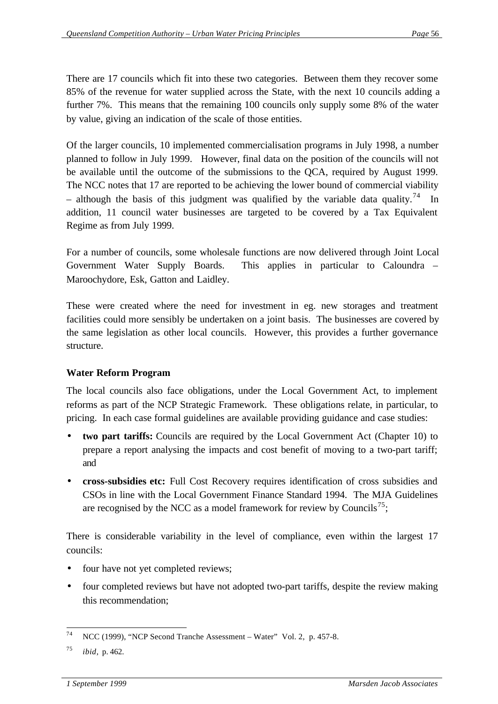There are 17 councils which fit into these two categories. Between them they recover some 85% of the revenue for water supplied across the State, with the next 10 councils adding a further 7%. This means that the remaining 100 councils only supply some 8% of the water by value, giving an indication of the scale of those entities.

Of the larger councils, 10 implemented commercialisation programs in July 1998, a number planned to follow in July 1999. However, final data on the position of the councils will not be available until the outcome of the submissions to the QCA, required by August 1999. The NCC notes that 17 are reported to be achieving the lower bound of commercial viability – although the basis of this judgment was qualified by the variable data quality.<sup>74</sup> In addition, 11 council water businesses are targeted to be covered by a Tax Equivalent Regime as from July 1999.

For a number of councils, some wholesale functions are now delivered through Joint Local Government Water Supply Boards. This applies in particular to Caloundra – Maroochydore, Esk, Gatton and Laidley.

These were created where the need for investment in eg. new storages and treatment facilities could more sensibly be undertaken on a joint basis. The businesses are covered by the same legislation as other local councils. However, this provides a further governance structure.

## **Water Reform Program**

The local councils also face obligations, under the Local Government Act, to implement reforms as part of the NCP Strategic Framework. These obligations relate, in particular, to pricing. In each case formal guidelines are available providing guidance and case studies:

- **two part tariffs:** Councils are required by the Local Government Act (Chapter 10) to prepare a report analysing the impacts and cost benefit of moving to a two-part tariff; and
- **cross-subsidies etc:** Full Cost Recovery requires identification of cross subsidies and CSOs in line with the Local Government Finance Standard 1994. The MJA Guidelines are recognised by the NCC as a model framework for review by Councils<sup>75</sup>;

There is considerable variability in the level of compliance, even within the largest 17 councils:

- four have not yet completed reviews;
- four completed reviews but have not adopted two-part tariffs, despite the review making this recommendation;

 NCC (1999), "NCP Second Tranche Assessment – Water" Vol. 2, p. 457-8.

<sup>75</sup> *ibid*, p. 462.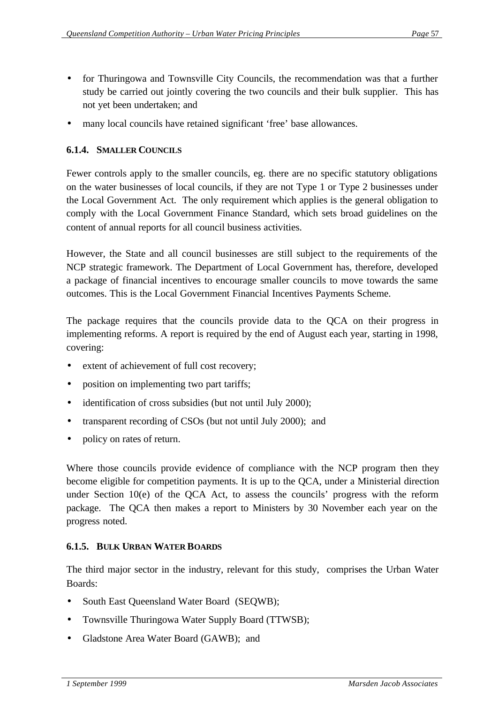- for Thuringowa and Townsville City Councils, the recommendation was that a further study be carried out jointly covering the two councils and their bulk supplier. This has not yet been undertaken; and
- many local councils have retained significant 'free' base allowances.

## **6.1.4. SMALLER COUNCILS**

Fewer controls apply to the smaller councils, eg. there are no specific statutory obligations on the water businesses of local councils, if they are not Type 1 or Type 2 businesses under the Local Government Act. The only requirement which applies is the general obligation to comply with the Local Government Finance Standard, which sets broad guidelines on the content of annual reports for all council business activities.

However, the State and all council businesses are still subject to the requirements of the NCP strategic framework. The Department of Local Government has, therefore, developed a package of financial incentives to encourage smaller councils to move towards the same outcomes. This is the Local Government Financial Incentives Payments Scheme.

The package requires that the councils provide data to the QCA on their progress in implementing reforms. A report is required by the end of August each year, starting in 1998, covering:

- extent of achievement of full cost recovery;
- position on implementing two part tariffs;
- identification of cross subsidies (but not until July 2000);
- transparent recording of CSOs (but not until July 2000); and
- policy on rates of return.

Where those councils provide evidence of compliance with the NCP program then they become eligible for competition payments. It is up to the QCA, under a Ministerial direction under Section 10(e) of the QCA Act, to assess the councils' progress with the reform package. The QCA then makes a report to Ministers by 30 November each year on the progress noted.

## **6.1.5. BULK URBAN WATER BOARDS**

The third major sector in the industry, relevant for this study, comprises the Urban Water Boards:

- South East Queensland Water Board (SEQWB);
- Townsville Thuringowa Water Supply Board (TTWSB);
- Gladstone Area Water Board (GAWB); and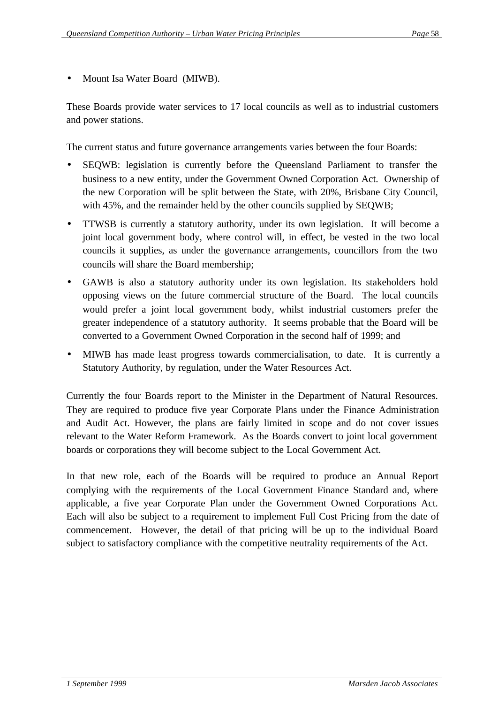• Mount Isa Water Board (MIWB).

These Boards provide water services to 17 local councils as well as to industrial customers and power stations.

The current status and future governance arrangements varies between the four Boards:

- SEQWB: legislation is currently before the Queensland Parliament to transfer the business to a new entity, under the Government Owned Corporation Act. Ownership of the new Corporation will be split between the State, with 20%, Brisbane City Council, with 45%, and the remainder held by the other councils supplied by SEQWB;
- TTWSB is currently a statutory authority, under its own legislation. It will become a joint local government body, where control will, in effect, be vested in the two local councils it supplies, as under the governance arrangements, councillors from the two councils will share the Board membership;
- GAWB is also a statutory authority under its own legislation. Its stakeholders hold opposing views on the future commercial structure of the Board. The local councils would prefer a joint local government body, whilst industrial customers prefer the greater independence of a statutory authority. It seems probable that the Board will be converted to a Government Owned Corporation in the second half of 1999; and
- MIWB has made least progress towards commercialisation, to date. It is currently a Statutory Authority, by regulation, under the Water Resources Act.

Currently the four Boards report to the Minister in the Department of Natural Resources. They are required to produce five year Corporate Plans under the Finance Administration and Audit Act. However, the plans are fairly limited in scope and do not cover issues relevant to the Water Reform Framework. As the Boards convert to joint local government boards or corporations they will become subject to the Local Government Act.

In that new role, each of the Boards will be required to produce an Annual Report complying with the requirements of the Local Government Finance Standard and, where applicable, a five year Corporate Plan under the Government Owned Corporations Act. Each will also be subject to a requirement to implement Full Cost Pricing from the date of commencement. However, the detail of that pricing will be up to the individual Board subject to satisfactory compliance with the competitive neutrality requirements of the Act.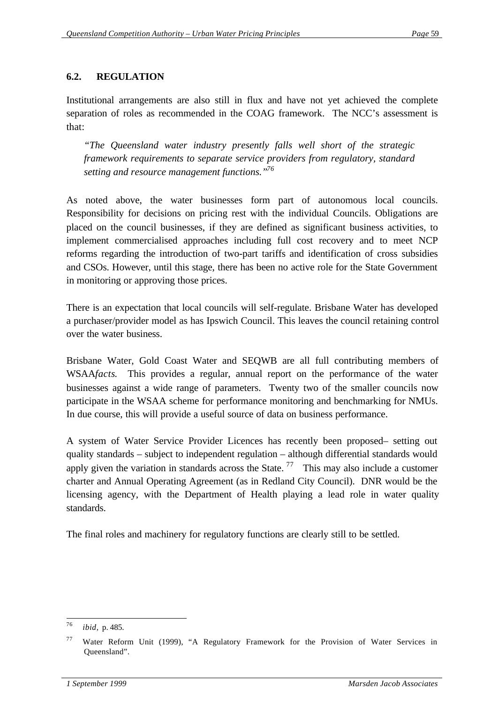### **6.2. REGULATION**

Institutional arrangements are also still in flux and have not yet achieved the complete separation of roles as recommended in the COAG framework. The NCC's assessment is that:

*"The Queensland water industry presently falls well short of the strategic framework requirements to separate service providers from regulatory, standard setting and resource management functions."<sup>76</sup>*

As noted above, the water businesses form part of autonomous local councils. Responsibility for decisions on pricing rest with the individual Councils. Obligations are placed on the council businesses, if they are defined as significant business activities, to implement commercialised approaches including full cost recovery and to meet NCP reforms regarding the introduction of two-part tariffs and identification of cross subsidies and CSOs. However, until this stage, there has been no active role for the State Government in monitoring or approving those prices.

There is an expectation that local councils will self-regulate. Brisbane Water has developed a purchaser/provider model as has Ipswich Council. This leaves the council retaining control over the water business.

Brisbane Water, Gold Coast Water and SEQWB are all full contributing members of WSAA*facts*. This provides a regular, annual report on the performance of the water businesses against a wide range of parameters. Twenty two of the smaller councils now participate in the WSAA scheme for performance monitoring and benchmarking for NMUs. In due course, this will provide a useful source of data on business performance.

A system of Water Service Provider Licences has recently been proposed– setting out quality standards – subject to independent regulation – although differential standards would apply given the variation in standards across the State.<sup>77</sup> This may also include a customer charter and Annual Operating Agreement (as in Redland City Council). DNR would be the licensing agency, with the Department of Health playing a lead role in water quality standards.

The final roles and machinery for regulatory functions are clearly still to be settled.

 *ibid*, p. 485.

<sup>77</sup> Water Reform Unit (1999), "A Regulatory Framework for the Provision of Water Services in Queensland".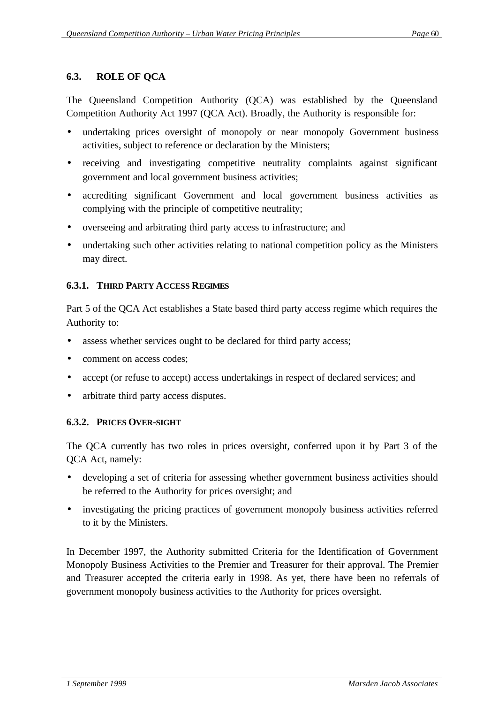## **6.3. ROLE OF QCA**

The Queensland Competition Authority (QCA) was established by the Queensland Competition Authority Act 1997 (QCA Act). Broadly, the Authority is responsible for:

- undertaking prices oversight of monopoly or near monopoly Government business activities, subject to reference or declaration by the Ministers;
- receiving and investigating competitive neutrality complaints against significant government and local government business activities;
- accrediting significant Government and local government business activities as complying with the principle of competitive neutrality;
- overseeing and arbitrating third party access to infrastructure; and
- undertaking such other activities relating to national competition policy as the Ministers may direct.

### **6.3.1. THIRD PARTY ACCESS REGIMES**

Part 5 of the QCA Act establishes a State based third party access regime which requires the Authority to:

- assess whether services ought to be declared for third party access;
- comment on access codes:
- accept (or refuse to accept) access undertakings in respect of declared services; and
- arbitrate third party access disputes.

#### **6.3.2. PRICES OVER-SIGHT**

The QCA currently has two roles in prices oversight, conferred upon it by Part 3 of the QCA Act, namely:

- developing a set of criteria for assessing whether government business activities should be referred to the Authority for prices oversight; and
- investigating the pricing practices of government monopoly business activities referred to it by the Ministers.

In December 1997, the Authority submitted Criteria for the Identification of Government Monopoly Business Activities to the Premier and Treasurer for their approval. The Premier and Treasurer accepted the criteria early in 1998. As yet, there have been no referrals of government monopoly business activities to the Authority for prices oversight.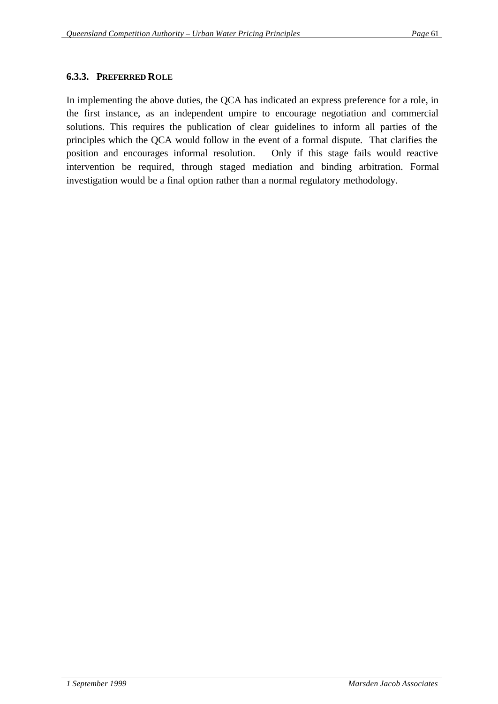#### **6.3.3. PREFERRED ROLE**

In implementing the above duties, the QCA has indicated an express preference for a role, in the first instance, as an independent umpire to encourage negotiation and commercial solutions. This requires the publication of clear guidelines to inform all parties of the principles which the QCA would follow in the event of a formal dispute. That clarifies the position and encourages informal resolution. Only if this stage fails would reactive intervention be required, through staged mediation and binding arbitration. Formal investigation would be a final option rather than a normal regulatory methodology.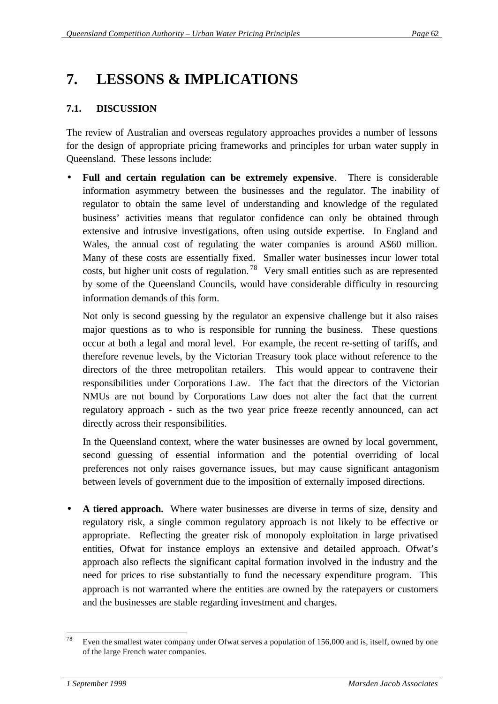## **7. LESSONS & IMPLICATIONS**

## **7.1. DISCUSSION**

The review of Australian and overseas regulatory approaches provides a number of lessons for the design of appropriate pricing frameworks and principles for urban water supply in Queensland. These lessons include:

• **Full and certain regulation can be extremely expensive**. There is considerable information asymmetry between the businesses and the regulator. The inability of regulator to obtain the same level of understanding and knowledge of the regulated business' activities means that regulator confidence can only be obtained through extensive and intrusive investigations, often using outside expertise. In England and Wales, the annual cost of regulating the water companies is around A\$60 million. Many of these costs are essentially fixed. Smaller water businesses incur lower total costs, but higher unit costs of regulation.<sup>78</sup> Very small entities such as are represented by some of the Queensland Councils, would have considerable difficulty in resourcing information demands of this form.

Not only is second guessing by the regulator an expensive challenge but it also raises major questions as to who is responsible for running the business. These questions occur at both a legal and moral level. For example, the recent re-setting of tariffs, and therefore revenue levels, by the Victorian Treasury took place without reference to the directors of the three metropolitan retailers. This would appear to contravene their responsibilities under Corporations Law. The fact that the directors of the Victorian NMUs are not bound by Corporations Law does not alter the fact that the current regulatory approach - such as the two year price freeze recently announced, can act directly across their responsibilities.

In the Queensland context, where the water businesses are owned by local government, second guessing of essential information and the potential overriding of local preferences not only raises governance issues, but may cause significant antagonism between levels of government due to the imposition of externally imposed directions.

• **A tiered approach.** Where water businesses are diverse in terms of size, density and regulatory risk, a single common regulatory approach is not likely to be effective or appropriate. Reflecting the greater risk of monopoly exploitation in large privatised entities, Ofwat for instance employs an extensive and detailed approach. Ofwat's approach also reflects the significant capital formation involved in the industry and the need for prices to rise substantially to fund the necessary expenditure program. This approach is not warranted where the entities are owned by the ratepayers or customers and the businesses are stable regarding investment and charges.

 Even the smallest water company under Ofwat serves a population of 156,000 and is, itself, owned by one of the large French water companies.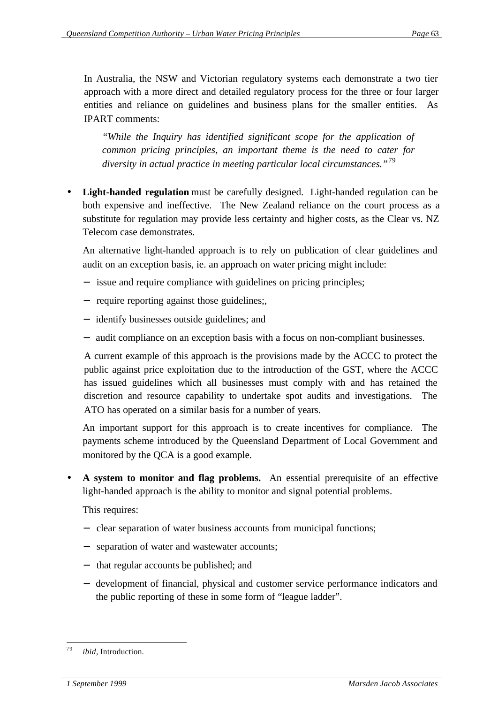In Australia, the NSW and Victorian regulatory systems each demonstrate a two tier approach with a more direct and detailed regulatory process for the three or four larger entities and reliance on guidelines and business plans for the smaller entities. As IPART comments:

*"While the Inquiry has identified significant scope for the application of common pricing principles, an important theme is the need to cater for diversity in actual practice in meeting particular local circumstances."*<sup>79</sup>

Light-handed regulation must be carefully designed. Light-handed regulation can be both expensive and ineffective. The New Zealand reliance on the court process as a substitute for regulation may provide less certainty and higher costs, as the Clear vs. NZ Telecom case demonstrates.

An alternative light-handed approach is to rely on publication of clear guidelines and audit on an exception basis, ie. an approach on water pricing might include:

- − issue and require compliance with guidelines on pricing principles;
- − require reporting against those guidelines;,
- − identify businesses outside guidelines; and
- − audit compliance on an exception basis with a focus on non-compliant businesses.

A current example of this approach is the provisions made by the ACCC to protect the public against price exploitation due to the introduction of the GST, where the ACCC has issued guidelines which all businesses must comply with and has retained the discretion and resource capability to undertake spot audits and investigations. The ATO has operated on a similar basis for a number of years.

An important support for this approach is to create incentives for compliance. The payments scheme introduced by the Queensland Department of Local Government and monitored by the QCA is a good example.

• **A system to monitor and flag problems.** An essential prerequisite of an effective light-handed approach is the ability to monitor and signal potential problems.

This requires:

- − clear separation of water business accounts from municipal functions;
- − separation of water and wastewater accounts;
- − that regular accounts be published; and
- − development of financial, physical and customer service performance indicators and the public reporting of these in some form of "league ladder".

 *ibid*, Introduction.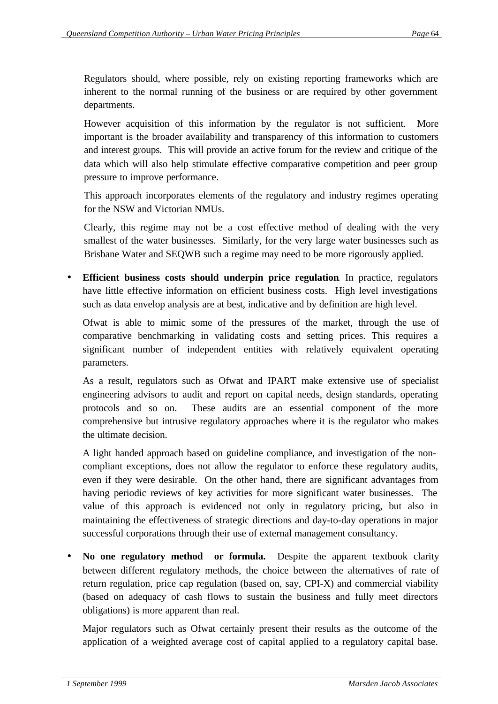Regulators should, where possible, rely on existing reporting frameworks which are inherent to the normal running of the business or are required by other government departments.

However acquisition of this information by the regulator is not sufficient. More important is the broader availability and transparency of this information to customers and interest groups. This will provide an active forum for the review and critique of the data which will also help stimulate effective comparative competition and peer group pressure to improve performance.

This approach incorporates elements of the regulatory and industry regimes operating for the NSW and Victorian NMUs.

Clearly, this regime may not be a cost effective method of dealing with the very smallest of the water businesses. Similarly, for the very large water businesses such as Brisbane Water and SEQWB such a regime may need to be more rigorously applied.

**Efficient business costs should underpin price regulation**. In practice, regulators have little effective information on efficient business costs. High level investigations such as data envelop analysis are at best, indicative and by definition are high level.

Ofwat is able to mimic some of the pressures of the market, through the use of comparative benchmarking in validating costs and setting prices. This requires a significant number of independent entities with relatively equivalent operating parameters.

As a result, regulators such as Ofwat and IPART make extensive use of specialist engineering advisors to audit and report on capital needs, design standards, operating protocols and so on. These audits are an essential component of the more comprehensive but intrusive regulatory approaches where it is the regulator who makes the ultimate decision.

A light handed approach based on guideline compliance, and investigation of the noncompliant exceptions, does not allow the regulator to enforce these regulatory audits, even if they were desirable. On the other hand, there are significant advantages from having periodic reviews of key activities for more significant water businesses. The value of this approach is evidenced not only in regulatory pricing, but also in maintaining the effectiveness of strategic directions and day-to-day operations in major successful corporations through their use of external management consultancy.

• **No one regulatory method or formula.** Despite the apparent textbook clarity between different regulatory methods, the choice between the alternatives of rate of return regulation, price cap regulation (based on, say, CPI-X) and commercial viability (based on adequacy of cash flows to sustain the business and fully meet directors obligations) is more apparent than real.

Major regulators such as Ofwat certainly present their results as the outcome of the application of a weighted average cost of capital applied to a regulatory capital base.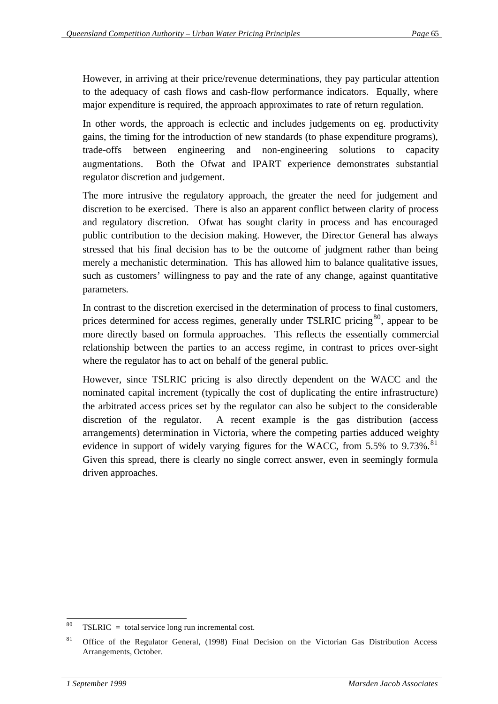However, in arriving at their price/revenue determinations, they pay particular attention to the adequacy of cash flows and cash-flow performance indicators. Equally, where major expenditure is required, the approach approximates to rate of return regulation.

In other words, the approach is eclectic and includes judgements on eg. productivity gains, the timing for the introduction of new standards (to phase expenditure programs), trade-offs between engineering and non-engineering solutions to capacity augmentations. Both the Ofwat and IPART experience demonstrates substantial regulator discretion and judgement.

The more intrusive the regulatory approach, the greater the need for judgement and discretion to be exercised. There is also an apparent conflict between clarity of process and regulatory discretion. Ofwat has sought clarity in process and has encouraged public contribution to the decision making. However, the Director General has always stressed that his final decision has to be the outcome of judgment rather than being merely a mechanistic determination. This has allowed him to balance qualitative issues, such as customers' willingness to pay and the rate of any change, against quantitative parameters.

In contrast to the discretion exercised in the determination of process to final customers, prices determined for access regimes, generally under TSLRIC pricing<sup>80</sup>, appear to be more directly based on formula approaches. This reflects the essentially commercial relationship between the parties to an access regime, in contrast to prices over-sight where the regulator has to act on behalf of the general public.

However, since TSLRIC pricing is also directly dependent on the WACC and the nominated capital increment (typically the cost of duplicating the entire infrastructure) the arbitrated access prices set by the regulator can also be subject to the considerable discretion of the regulator. A recent example is the gas distribution (access arrangements) determination in Victoria, where the competing parties adduced weighty evidence in support of widely varying figures for the WACC, from 5.5% to 9.73%.<sup>81</sup> Given this spread, there is clearly no single correct answer, even in seemingly formula driven approaches.

  $TSLRIC = total service long run incremental cost.$ 

<sup>&</sup>lt;sup>81</sup> Office of the Regulator General, (1998) Final Decision on the Victorian Gas Distribution Access Arrangements, October.